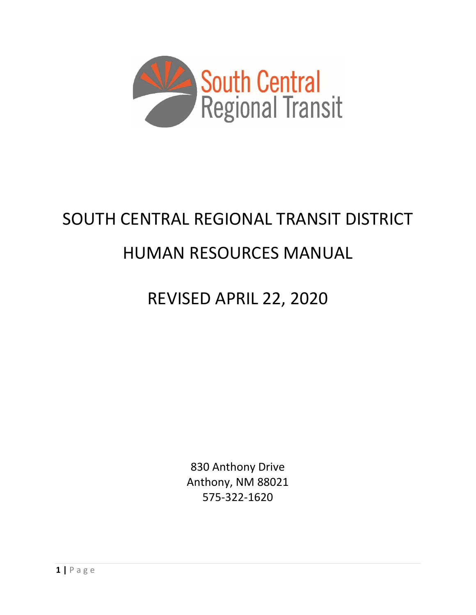

# SOUTH CENTRAL REGIONAL TRANSIT DISTRICT

# HUMAN RESOURCES MANUAL

# REVISED APRIL 22, 2020

830 Anthony Drive Anthony, NM 88021 575-322-1620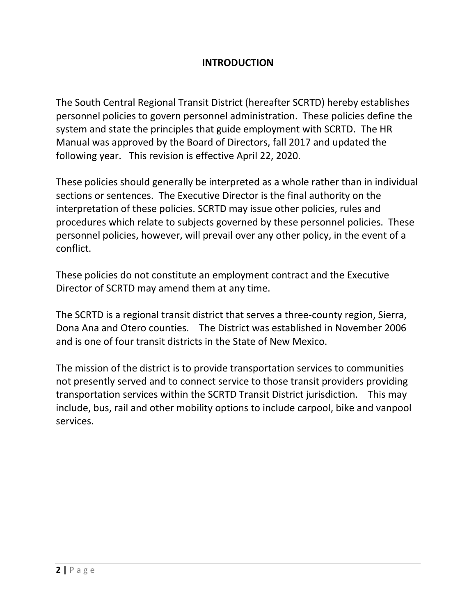#### **INTRODUCTION**

The South Central Regional Transit District (hereafter SCRTD) hereby establishes personnel policies to govern personnel administration. These policies define the system and state the principles that guide employment with SCRTD. The HR Manual was approved by the Board of Directors, fall 2017 and updated the following year. This revision is effective April 22, 2020.

These policies should generally be interpreted as a whole rather than in individual sections or sentences. The Executive Director is the final authority on the interpretation of these policies. SCRTD may issue other policies, rules and procedures which relate to subjects governed by these personnel policies. These personnel policies, however, will prevail over any other policy, in the event of a conflict.

These policies do not constitute an employment contract and the Executive Director of SCRTD may amend them at any time.

The SCRTD is a regional transit district that serves a three-county region, Sierra, Dona Ana and Otero counties. The District was established in November 2006 and is one of four transit districts in the State of New Mexico.

The mission of the district is to provide transportation services to communities not presently served and to connect service to those transit providers providing transportation services within the SCRTD Transit District jurisdiction. This may include, bus, rail and other mobility options to include carpool, bike and vanpool services.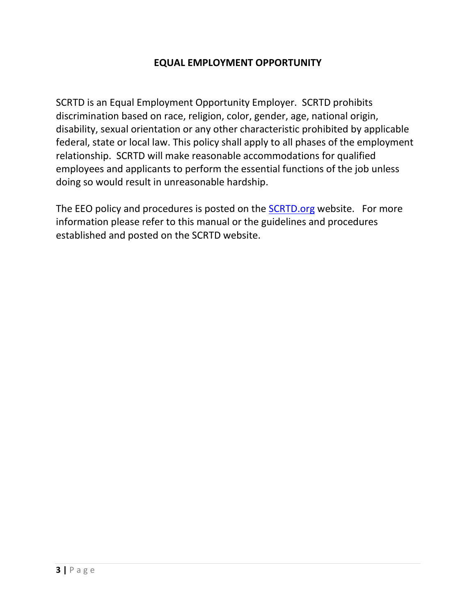#### **EQUAL EMPLOYMENT OPPORTUNITY**

SCRTD is an Equal Employment Opportunity Employer. SCRTD prohibits discrimination based on race, religion, color, gender, age, national origin, disability, sexual orientation or any other characteristic prohibited by applicable federal, state or local law. This policy shall apply to all phases of the employment relationship. SCRTD will make reasonable accommodations for qualified employees and applicants to perform the essential functions of the job unless doing so would result in unreasonable hardship.

The EEO policy and procedures is posted on the **SCRTD.org** website. For more information please refer to this manual or the guidelines and procedures established and posted on the SCRTD website.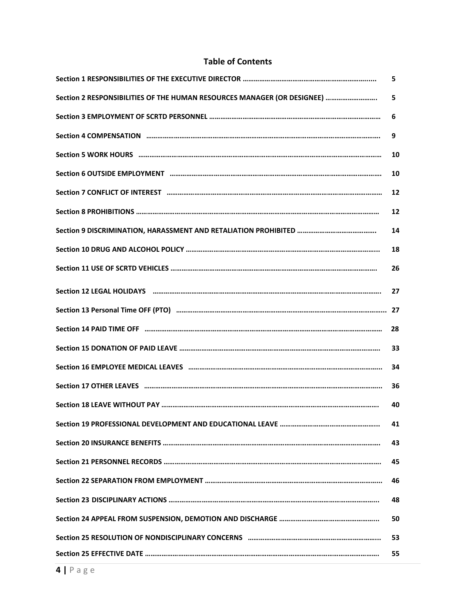#### **Table of Contents**

|                                                                                                                                                                                                                                | 5  |
|--------------------------------------------------------------------------------------------------------------------------------------------------------------------------------------------------------------------------------|----|
| Section 2 RESPONSIBILITIES OF THE HUMAN RESOURCES MANAGER (OR DESIGNEE)                                                                                                                                                        | 5  |
|                                                                                                                                                                                                                                | 6  |
|                                                                                                                                                                                                                                | 9  |
|                                                                                                                                                                                                                                | 10 |
|                                                                                                                                                                                                                                | 10 |
|                                                                                                                                                                                                                                | 12 |
|                                                                                                                                                                                                                                | 12 |
|                                                                                                                                                                                                                                | 14 |
|                                                                                                                                                                                                                                | 18 |
|                                                                                                                                                                                                                                | 26 |
|                                                                                                                                                                                                                                | 27 |
|                                                                                                                                                                                                                                |    |
|                                                                                                                                                                                                                                | 28 |
|                                                                                                                                                                                                                                |    |
|                                                                                                                                                                                                                                | 33 |
| Section 16 EMPLOYEE MEDICAL LEAVES manageneous management and contained a section 16 EMPLOYEE MEDICAL LEAVES management contains and contained a section of the section of the section of the section of the section of the se | 34 |
|                                                                                                                                                                                                                                | 36 |
|                                                                                                                                                                                                                                | 40 |
|                                                                                                                                                                                                                                | 41 |
|                                                                                                                                                                                                                                | 43 |
|                                                                                                                                                                                                                                | 45 |
|                                                                                                                                                                                                                                | 46 |
|                                                                                                                                                                                                                                | 48 |
|                                                                                                                                                                                                                                | 50 |
|                                                                                                                                                                                                                                | 53 |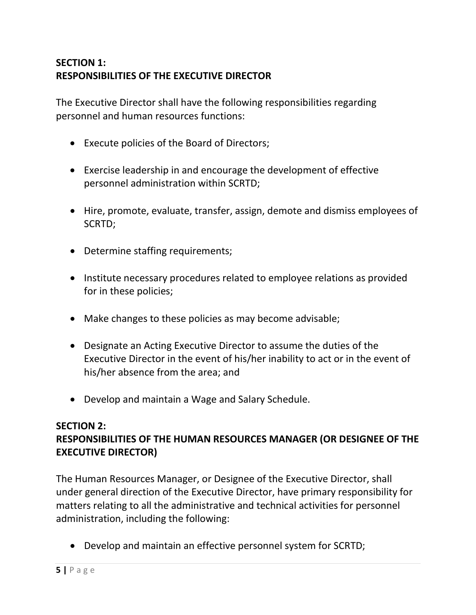# **SECTION 1: RESPONSIBILITIES OF THE EXECUTIVE DIRECTOR**

The Executive Director shall have the following responsibilities regarding personnel and human resources functions:

- Execute policies of the Board of Directors;
- Exercise leadership in and encourage the development of effective personnel administration within SCRTD;
- Hire, promote, evaluate, transfer, assign, demote and dismiss employees of SCRTD;
- Determine staffing requirements;
- Institute necessary procedures related to employee relations as provided for in these policies;
- Make changes to these policies as may become advisable;
- Designate an Acting Executive Director to assume the duties of the Executive Director in the event of his/her inability to act or in the event of his/her absence from the area; and
- Develop and maintain a Wage and Salary Schedule.

#### **SECTION 2: RESPONSIBILITIES OF THE HUMAN RESOURCES MANAGER (OR DESIGNEE OF THE EXECUTIVE DIRECTOR)**

The Human Resources Manager, or Designee of the Executive Director, shall under general direction of the Executive Director, have primary responsibility for matters relating to all the administrative and technical activities for personnel administration, including the following:

• Develop and maintain an effective personnel system for SCRTD;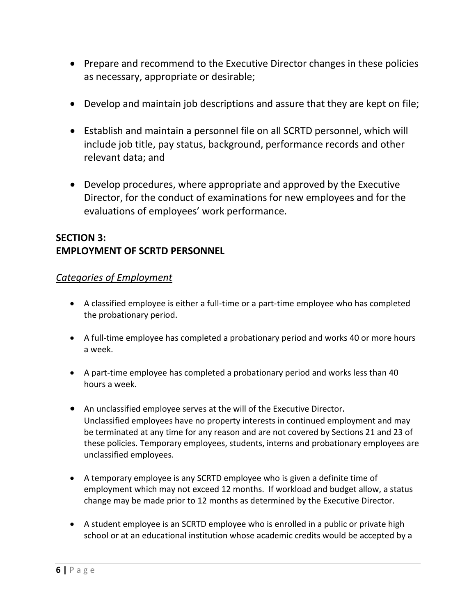- Prepare and recommend to the Executive Director changes in these policies as necessary, appropriate or desirable;
- Develop and maintain job descriptions and assure that they are kept on file;
- Establish and maintain a personnel file on all SCRTD personnel, which will include job title, pay status, background, performance records and other relevant data; and
- Develop procedures, where appropriate and approved by the Executive Director, for the conduct of examinations for new employees and for the evaluations of employees' work performance.

## **SECTION 3: EMPLOYMENT OF SCRTD PERSONNEL**

#### *Categories of Employment*

- A classified employee is either a full-time or a part-time employee who has completed the probationary period.
- A full-time employee has completed a probationary period and works 40 or more hours a week.
- A part-time employee has completed a probationary period and works less than 40 hours a week.
- An unclassified employee serves at the will of the Executive Director. Unclassified employees have no property interests in continued employment and may be terminated at any time for any reason and are not covered by Sections 21 and 23 of these policies. Temporary employees, students, interns and probationary employees are unclassified employees.
- A temporary employee is any SCRTD employee who is given a definite time of employment which may not exceed 12 months. If workload and budget allow, a status change may be made prior to 12 months as determined by the Executive Director.
- A student employee is an SCRTD employee who is enrolled in a public or private high school or at an educational institution whose academic credits would be accepted by a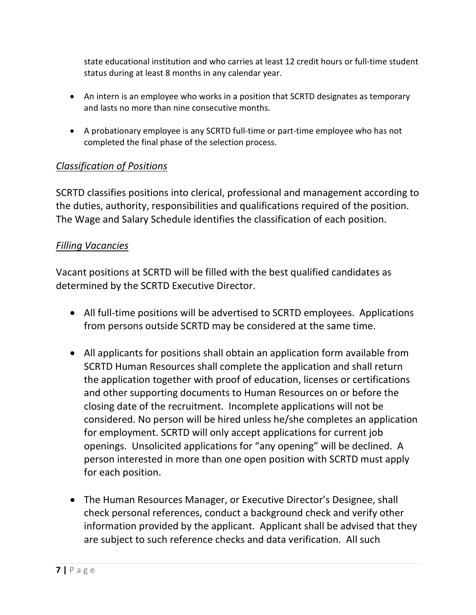state educational institution and who carries at least 12 credit hours or full-time student status during at least 8 months in any calendar year.

- An intern is an employee who works in a position that SCRTD designates as temporary and lasts no more than nine consecutive months.
- A probationary employee is any SCRTD full-time or part-time employee who has not completed the final phase of the selection process.

#### *Classification of Positions*

SCRTD classifies positions into clerical, professional and management according to the duties, authority, responsibilities and qualifications required of the position. The Wage and Salary Schedule identifies the classification of each position.

#### *Filling Vacancies*

Vacant positions at SCRTD will be filled with the best qualified candidates as determined by the SCRTD Executive Director.

- All full-time positions will be advertised to SCRTD employees. Applications from persons outside SCRTD may be considered at the same time.
- All applicants for positions shall obtain an application form available from SCRTD Human Resources shall complete the application and shall return the application together with proof of education, licenses or certifications and other supporting documents to Human Resources on or before the closing date of the recruitment. Incomplete applications will not be considered. No person will be hired unless he/she completes an application for employment. SCRTD will only accept applications for current job openings. Unsolicited applications for "any opening" will be declined. A person interested in more than one open position with SCRTD must apply for each position.
- The Human Resources Manager, or Executive Director's Designee, shall check personal references, conduct a background check and verify other information provided by the applicant. Applicant shall be advised that they are subject to such reference checks and data verification. All such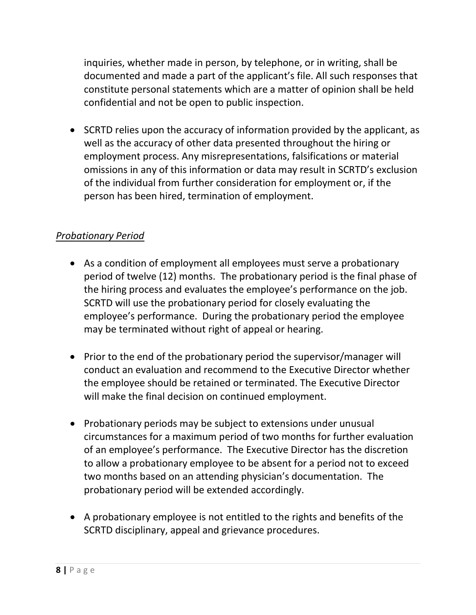inquiries, whether made in person, by telephone, or in writing, shall be documented and made a part of the applicant's file. All such responses that constitute personal statements which are a matter of opinion shall be held confidential and not be open to public inspection.

• SCRTD relies upon the accuracy of information provided by the applicant, as well as the accuracy of other data presented throughout the hiring or employment process. Any misrepresentations, falsifications or material omissions in any of this information or data may result in SCRTD's exclusion of the individual from further consideration for employment or, if the person has been hired, termination of employment.

#### *Probationary Period*

- As a condition of employment all employees must serve a probationary period of twelve (12) months. The probationary period is the final phase of the hiring process and evaluates the employee's performance on the job. SCRTD will use the probationary period for closely evaluating the employee's performance. During the probationary period the employee may be terminated without right of appeal or hearing.
- Prior to the end of the probationary period the supervisor/manager will conduct an evaluation and recommend to the Executive Director whether the employee should be retained or terminated. The Executive Director will make the final decision on continued employment.
- Probationary periods may be subject to extensions under unusual circumstances for a maximum period of two months for further evaluation of an employee's performance. The Executive Director has the discretion to allow a probationary employee to be absent for a period not to exceed two months based on an attending physician's documentation. The probationary period will be extended accordingly.
- A probationary employee is not entitled to the rights and benefits of the SCRTD disciplinary, appeal and grievance procedures.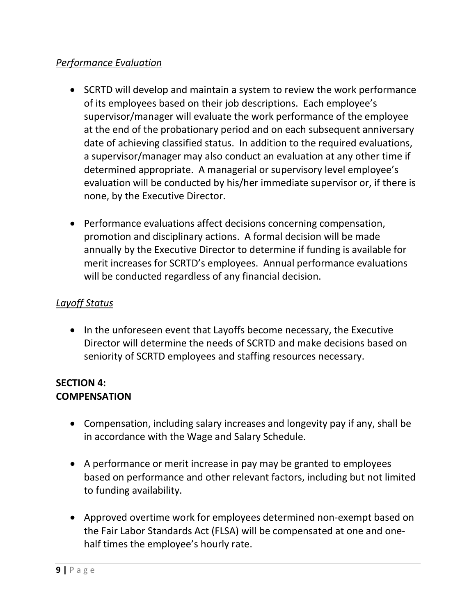## *Performance Evaluation*

- SCRTD will develop and maintain a system to review the work performance of its employees based on their job descriptions. Each employee's supervisor/manager will evaluate the work performance of the employee at the end of the probationary period and on each subsequent anniversary date of achieving classified status. In addition to the required evaluations, a supervisor/manager may also conduct an evaluation at any other time if determined appropriate. A managerial or supervisory level employee's evaluation will be conducted by his/her immediate supervisor or, if there is none, by the Executive Director.
- Performance evaluations affect decisions concerning compensation, promotion and disciplinary actions. A formal decision will be made annually by the Executive Director to determine if funding is available for merit increases for SCRTD's employees. Annual performance evaluations will be conducted regardless of any financial decision.

# *Layoff Status*

• In the unforeseen event that Layoffs become necessary, the Executive Director will determine the needs of SCRTD and make decisions based on seniority of SCRTD employees and staffing resources necessary.

#### **SECTION 4: COMPENSATION**

- Compensation, including salary increases and longevity pay if any, shall be in accordance with the Wage and Salary Schedule.
- A performance or merit increase in pay may be granted to employees based on performance and other relevant factors, including but not limited to funding availability.
- Approved overtime work for employees determined non-exempt based on the Fair Labor Standards Act (FLSA) will be compensated at one and onehalf times the employee's hourly rate.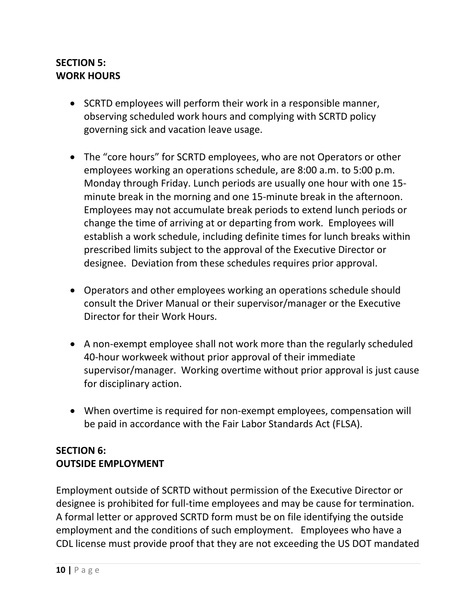### **SECTION 5: WORK HOURS**

- SCRTD employees will perform their work in a responsible manner, observing scheduled work hours and complying with SCRTD policy governing sick and vacation leave usage.
- The "core hours" for SCRTD employees, who are not Operators or other employees working an operations schedule, are 8:00 a.m. to 5:00 p.m. Monday through Friday. Lunch periods are usually one hour with one 15 minute break in the morning and one 15-minute break in the afternoon. Employees may not accumulate break periods to extend lunch periods or change the time of arriving at or departing from work. Employees will establish a work schedule, including definite times for lunch breaks within prescribed limits subject to the approval of the Executive Director or designee. Deviation from these schedules requires prior approval.
- Operators and other employees working an operations schedule should consult the Driver Manual or their supervisor/manager or the Executive Director for their Work Hours.
- A non-exempt employee shall not work more than the regularly scheduled 40-hour workweek without prior approval of their immediate supervisor/manager. Working overtime without prior approval is just cause for disciplinary action.
- When overtime is required for non-exempt employees, compensation will be paid in accordance with the Fair Labor Standards Act (FLSA).

## **SECTION 6: OUTSIDE EMPLOYMENT**

Employment outside of SCRTD without permission of the Executive Director or designee is prohibited for full-time employees and may be cause for termination. A formal letter or approved SCRTD form must be on file identifying the outside employment and the conditions of such employment. Employees who have a CDL license must provide proof that they are not exceeding the US DOT mandated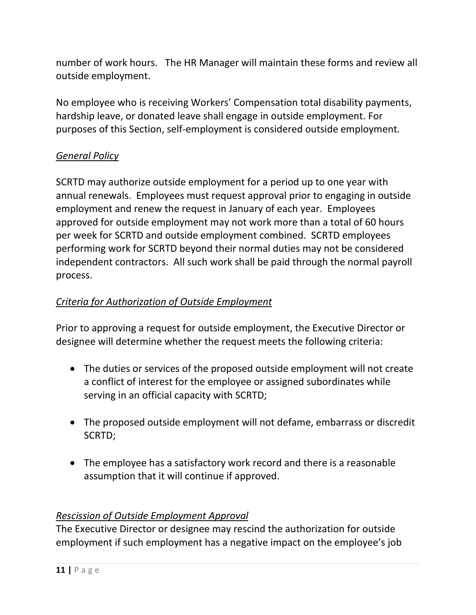number of work hours. The HR Manager will maintain these forms and review all outside employment.

No employee who is receiving Workers' Compensation total disability payments, hardship leave, or donated leave shall engage in outside employment. For purposes of this Section, self-employment is considered outside employment.

## *General Policy*

SCRTD may authorize outside employment for a period up to one year with annual renewals. Employees must request approval prior to engaging in outside employment and renew the request in January of each year. Employees approved for outside employment may not work more than a total of 60 hours per week for SCRTD and outside employment combined. SCRTD employees performing work for SCRTD beyond their normal duties may not be considered independent contractors. All such work shall be paid through the normal payroll process.

#### *Criteria for Authorization of Outside Employment*

Prior to approving a request for outside employment, the Executive Director or designee will determine whether the request meets the following criteria:

- The duties or services of the proposed outside employment will not create a conflict of interest for the employee or assigned subordinates while serving in an official capacity with SCRTD;
- The proposed outside employment will not defame, embarrass or discredit SCRTD;
- The employee has a satisfactory work record and there is a reasonable assumption that it will continue if approved.

#### *Rescission of Outside Employment Approval*

The Executive Director or designee may rescind the authorization for outside employment if such employment has a negative impact on the employee's job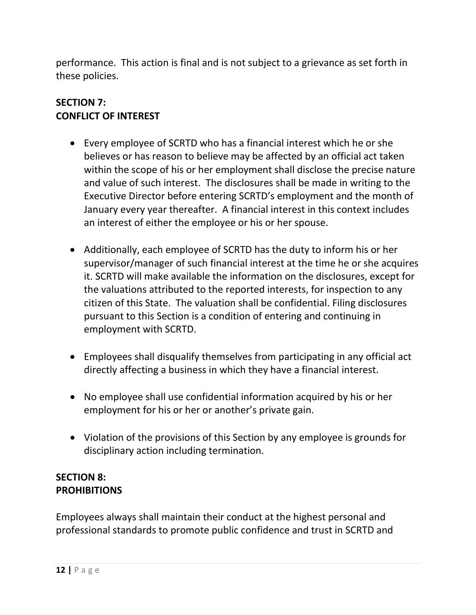performance. This action is final and is not subject to a grievance as set forth in these policies.

#### **SECTION 7: CONFLICT OF INTEREST**

- Every employee of SCRTD who has a financial interest which he or she believes or has reason to believe may be affected by an official act taken within the scope of his or her employment shall disclose the precise nature and value of such interest. The disclosures shall be made in writing to the Executive Director before entering SCRTD's employment and the month of January every year thereafter. A financial interest in this context includes an interest of either the employee or his or her spouse.
- Additionally, each employee of SCRTD has the duty to inform his or her supervisor/manager of such financial interest at the time he or she acquires it. SCRTD will make available the information on the disclosures, except for the valuations attributed to the reported interests, for inspection to any citizen of this State. The valuation shall be confidential. Filing disclosures pursuant to this Section is a condition of entering and continuing in employment with SCRTD.
- Employees shall disqualify themselves from participating in any official act directly affecting a business in which they have a financial interest.
- No employee shall use confidential information acquired by his or her employment for his or her or another's private gain.
- Violation of the provisions of this Section by any employee is grounds for disciplinary action including termination.

## **SECTION 8: PROHIBITIONS**

Employees always shall maintain their conduct at the highest personal and professional standards to promote public confidence and trust in SCRTD and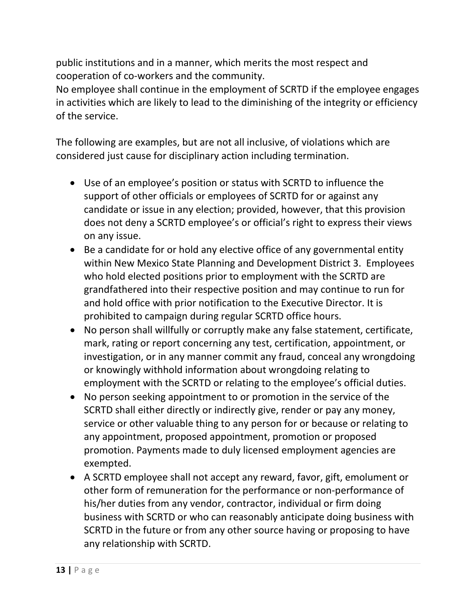public institutions and in a manner, which merits the most respect and cooperation of co-workers and the community.

No employee shall continue in the employment of SCRTD if the employee engages in activities which are likely to lead to the diminishing of the integrity or efficiency of the service.

The following are examples, but are not all inclusive, of violations which are considered just cause for disciplinary action including termination.

- Use of an employee's position or status with SCRTD to influence the support of other officials or employees of SCRTD for or against any candidate or issue in any election; provided, however, that this provision does not deny a SCRTD employee's or official's right to express their views on any issue.
- Be a candidate for or hold any elective office of any governmental entity within New Mexico State Planning and Development District 3. Employees who hold elected positions prior to employment with the SCRTD are grandfathered into their respective position and may continue to run for and hold office with prior notification to the Executive Director. It is prohibited to campaign during regular SCRTD office hours.
- No person shall willfully or corruptly make any false statement, certificate, mark, rating or report concerning any test, certification, appointment, or investigation, or in any manner commit any fraud, conceal any wrongdoing or knowingly withhold information about wrongdoing relating to employment with the SCRTD or relating to the employee's official duties.
- No person seeking appointment to or promotion in the service of the SCRTD shall either directly or indirectly give, render or pay any money, service or other valuable thing to any person for or because or relating to any appointment, proposed appointment, promotion or proposed promotion. Payments made to duly licensed employment agencies are exempted.
- A SCRTD employee shall not accept any reward, favor, gift, emolument or other form of remuneration for the performance or non-performance of his/her duties from any vendor, contractor, individual or firm doing business with SCRTD or who can reasonably anticipate doing business with SCRTD in the future or from any other source having or proposing to have any relationship with SCRTD.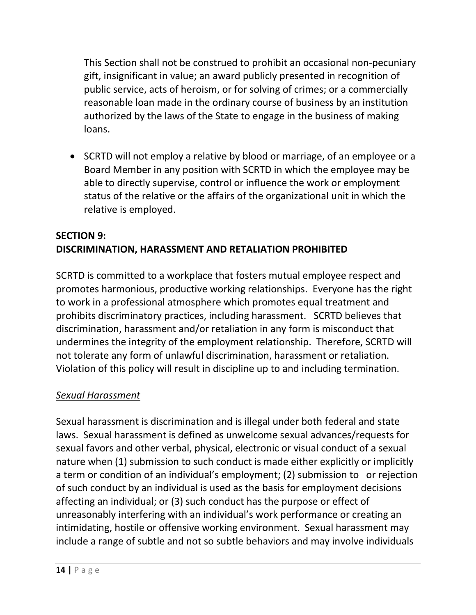This Section shall not be construed to prohibit an occasional non-pecuniary gift, insignificant in value; an award publicly presented in recognition of public service, acts of heroism, or for solving of crimes; or a commercially reasonable loan made in the ordinary course of business by an institution authorized by the laws of the State to engage in the business of making loans.

• SCRTD will not employ a relative by blood or marriage, of an employee or a Board Member in any position with SCRTD in which the employee may be able to directly supervise, control or influence the work or employment status of the relative or the affairs of the organizational unit in which the relative is employed.

# **SECTION 9: DISCRIMINATION, HARASSMENT AND RETALIATION PROHIBITED**

SCRTD is committed to a workplace that fosters mutual employee respect and promotes harmonious, productive working relationships. Everyone has the right to work in a professional atmosphere which promotes equal treatment and prohibits discriminatory practices, including harassment. SCRTD believes that discrimination, harassment and/or retaliation in any form is misconduct that undermines the integrity of the employment relationship. Therefore, SCRTD will not tolerate any form of unlawful discrimination, harassment or retaliation. Violation of this policy will result in discipline up to and including termination.

## *Sexual Harassment*

Sexual harassment is discrimination and is illegal under both federal and state laws. Sexual harassment is defined as unwelcome sexual advances/requests for sexual favors and other verbal, physical, electronic or visual conduct of a sexual nature when (1) submission to such conduct is made either explicitly or implicitly a term or condition of an individual's employment; (2) submission to or rejection of such conduct by an individual is used as the basis for employment decisions affecting an individual; or (3) such conduct has the purpose or effect of unreasonably interfering with an individual's work performance or creating an intimidating, hostile or offensive working environment. Sexual harassment may include a range of subtle and not so subtle behaviors and may involve individuals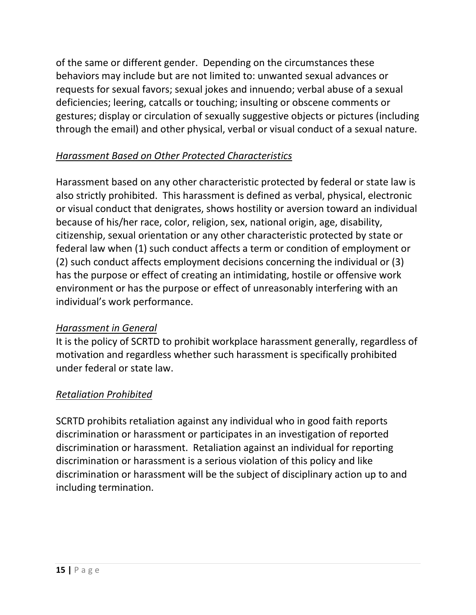of the same or different gender. Depending on the circumstances these behaviors may include but are not limited to: unwanted sexual advances or requests for sexual favors; sexual jokes and innuendo; verbal abuse of a sexual deficiencies; leering, catcalls or touching; insulting or obscene comments or gestures; display or circulation of sexually suggestive objects or pictures (including through the email) and other physical, verbal or visual conduct of a sexual nature.

# *Harassment Based on Other Protected Characteristics*

Harassment based on any other characteristic protected by federal or state law is also strictly prohibited. This harassment is defined as verbal, physical, electronic or visual conduct that denigrates, shows hostility or aversion toward an individual because of his/her race, color, religion, sex, national origin, age, disability, citizenship, sexual orientation or any other characteristic protected by state or federal law when (1) such conduct affects a term or condition of employment or (2) such conduct affects employment decisions concerning the individual or (3) has the purpose or effect of creating an intimidating, hostile or offensive work environment or has the purpose or effect of unreasonably interfering with an individual's work performance.

# *Harassment in General*

It is the policy of SCRTD to prohibit workplace harassment generally, regardless of motivation and regardless whether such harassment is specifically prohibited under federal or state law.

# *Retaliation Prohibited*

SCRTD prohibits retaliation against any individual who in good faith reports discrimination or harassment or participates in an investigation of reported discrimination or harassment. Retaliation against an individual for reporting discrimination or harassment is a serious violation of this policy and like discrimination or harassment will be the subject of disciplinary action up to and including termination.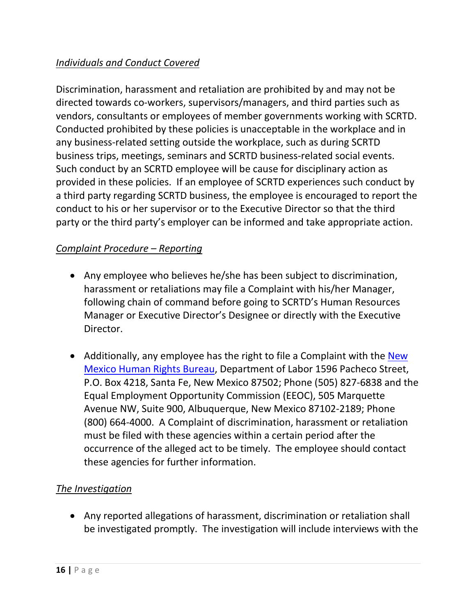## *Individuals and Conduct Covered*

Discrimination, harassment and retaliation are prohibited by and may not be directed towards co-workers, supervisors/managers, and third parties such as vendors, consultants or employees of member governments working with SCRTD. Conducted prohibited by these policies is unacceptable in the workplace and in any business-related setting outside the workplace, such as during SCRTD business trips, meetings, seminars and SCRTD business-related social events. Such conduct by an SCRTD employee will be cause for disciplinary action as provided in these policies. If an employee of SCRTD experiences such conduct by a third party regarding SCRTD business, the employee is encouraged to report the conduct to his or her supervisor or to the Executive Director so that the third party or the third party's employer can be informed and take appropriate action.

#### *Complaint Procedure – Reporting*

- Any employee who believes he/she has been subject to discrimination, harassment or retaliations may file a Complaint with his/her Manager, following chain of command before going to SCRTD's Human Resources Manager or Executive Director's Designee or directly with the Executive Director.
- Additionally, any employee has the right to file a Complaint with the New [Mexico Human Rights Bureau,](https://www.dws.state.nm.us/Human-Rights-Information) Department of Labor 1596 Pacheco Street, P.O. Box 4218, Santa Fe, New Mexico 87502; Phone (505) 827-6838 and the Equal Employment Opportunity Commission (EEOC), 505 Marquette Avenue NW, Suite 900, Albuquerque, New Mexico 87102-2189; Phone (800) 664-4000. A Complaint of discrimination, harassment or retaliation must be filed with these agencies within a certain period after the occurrence of the alleged act to be timely. The employee should contact these agencies for further information.

## *The Investigation*

• Any reported allegations of harassment, discrimination or retaliation shall be investigated promptly. The investigation will include interviews with the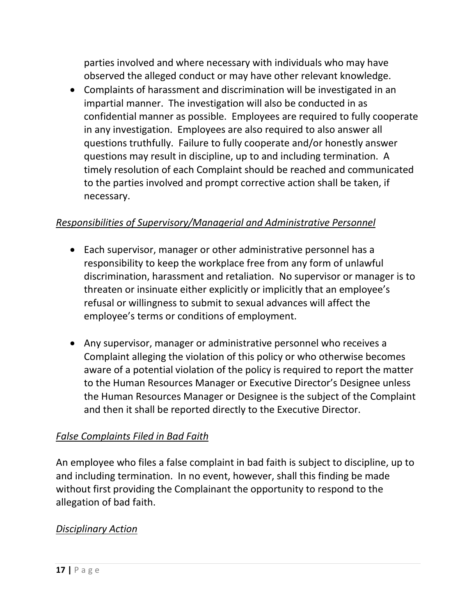parties involved and where necessary with individuals who may have observed the alleged conduct or may have other relevant knowledge.

• Complaints of harassment and discrimination will be investigated in an impartial manner. The investigation will also be conducted in as confidential manner as possible. Employees are required to fully cooperate in any investigation. Employees are also required to also answer all questions truthfully. Failure to fully cooperate and/or honestly answer questions may result in discipline, up to and including termination. A timely resolution of each Complaint should be reached and communicated to the parties involved and prompt corrective action shall be taken, if necessary.

#### *Responsibilities of Supervisory/Managerial and Administrative Personnel*

- Each supervisor, manager or other administrative personnel has a responsibility to keep the workplace free from any form of unlawful discrimination, harassment and retaliation. No supervisor or manager is to threaten or insinuate either explicitly or implicitly that an employee's refusal or willingness to submit to sexual advances will affect the employee's terms or conditions of employment.
- Any supervisor, manager or administrative personnel who receives a Complaint alleging the violation of this policy or who otherwise becomes aware of a potential violation of the policy is required to report the matter to the Human Resources Manager or Executive Director's Designee unless the Human Resources Manager or Designee is the subject of the Complaint and then it shall be reported directly to the Executive Director.

#### *False Complaints Filed in Bad Faith*

An employee who files a false complaint in bad faith is subject to discipline, up to and including termination. In no event, however, shall this finding be made without first providing the Complainant the opportunity to respond to the allegation of bad faith.

#### *Disciplinary Action*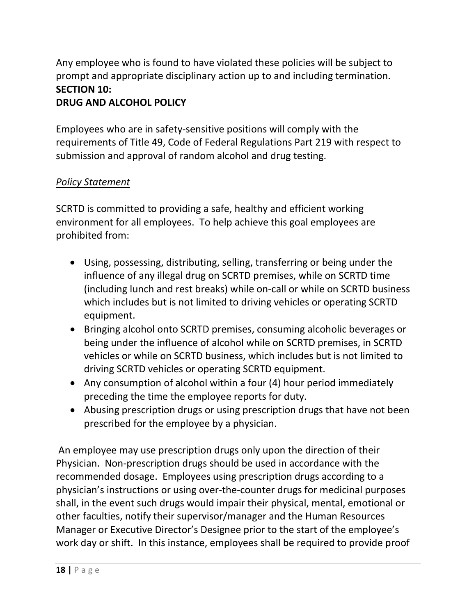Any employee who is found to have violated these policies will be subject to prompt and appropriate disciplinary action up to and including termination. **SECTION 10:**

## **DRUG AND ALCOHOL POLICY**

Employees who are in safety-sensitive positions will comply with the requirements of Title 49, Code of Federal Regulations Part 219 with respect to submission and approval of random alcohol and drug testing.

## *Policy Statement*

SCRTD is committed to providing a safe, healthy and efficient working environment for all employees. To help achieve this goal employees are prohibited from:

- Using, possessing, distributing, selling, transferring or being under the influence of any illegal drug on SCRTD premises, while on SCRTD time (including lunch and rest breaks) while on-call or while on SCRTD business which includes but is not limited to driving vehicles or operating SCRTD equipment.
- Bringing alcohol onto SCRTD premises, consuming alcoholic beverages or being under the influence of alcohol while on SCRTD premises, in SCRTD vehicles or while on SCRTD business, which includes but is not limited to driving SCRTD vehicles or operating SCRTD equipment.
- Any consumption of alcohol within a four (4) hour period immediately preceding the time the employee reports for duty.
- Abusing prescription drugs or using prescription drugs that have not been prescribed for the employee by a physician.

An employee may use prescription drugs only upon the direction of their Physician. Non-prescription drugs should be used in accordance with the recommended dosage. Employees using prescription drugs according to a physician's instructions or using over-the-counter drugs for medicinal purposes shall, in the event such drugs would impair their physical, mental, emotional or other faculties, notify their supervisor/manager and the Human Resources Manager or Executive Director's Designee prior to the start of the employee's work day or shift. In this instance, employees shall be required to provide proof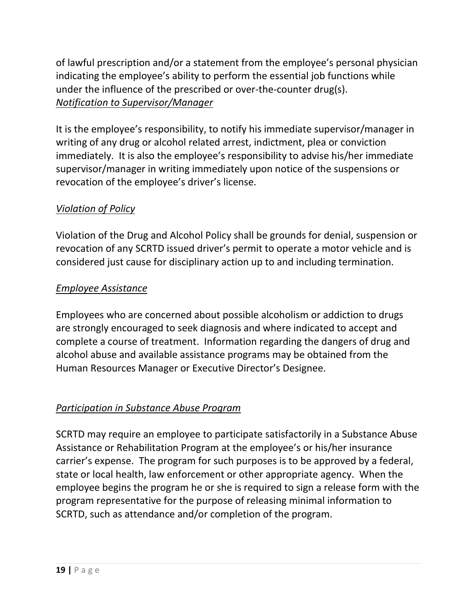of lawful prescription and/or a statement from the employee's personal physician indicating the employee's ability to perform the essential job functions while under the influence of the prescribed or over-the-counter drug(s). *Notification to Supervisor/Manager*

It is the employee's responsibility, to notify his immediate supervisor/manager in writing of any drug or alcohol related arrest, indictment, plea or conviction immediately. It is also the employee's responsibility to advise his/her immediate supervisor/manager in writing immediately upon notice of the suspensions or revocation of the employee's driver's license.

# *Violation of Policy*

Violation of the Drug and Alcohol Policy shall be grounds for denial, suspension or revocation of any SCRTD issued driver's permit to operate a motor vehicle and is considered just cause for disciplinary action up to and including termination.

# *Employee Assistance*

Employees who are concerned about possible alcoholism or addiction to drugs are strongly encouraged to seek diagnosis and where indicated to accept and complete a course of treatment. Information regarding the dangers of drug and alcohol abuse and available assistance programs may be obtained from the Human Resources Manager or Executive Director's Designee.

## *Participation in Substance Abuse Program*

SCRTD may require an employee to participate satisfactorily in a Substance Abuse Assistance or Rehabilitation Program at the employee's or his/her insurance carrier's expense. The program for such purposes is to be approved by a federal, state or local health, law enforcement or other appropriate agency. When the employee begins the program he or she is required to sign a release form with the program representative for the purpose of releasing minimal information to SCRTD, such as attendance and/or completion of the program.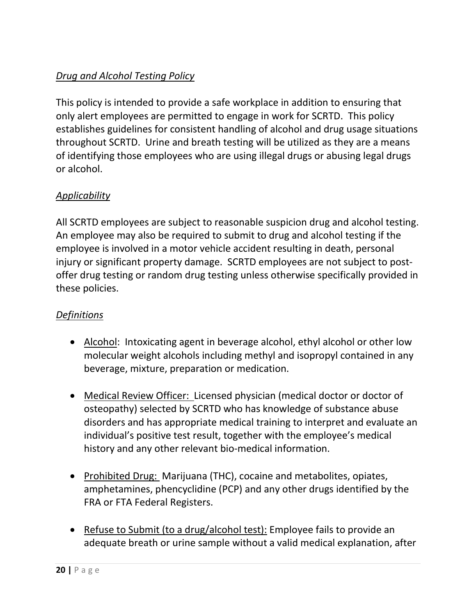# *Drug and Alcohol Testing Policy*

This policy is intended to provide a safe workplace in addition to ensuring that only alert employees are permitted to engage in work for SCRTD. This policy establishes guidelines for consistent handling of alcohol and drug usage situations throughout SCRTD. Urine and breath testing will be utilized as they are a means of identifying those employees who are using illegal drugs or abusing legal drugs or alcohol.

## *Applicability*

All SCRTD employees are subject to reasonable suspicion drug and alcohol testing. An employee may also be required to submit to drug and alcohol testing if the employee is involved in a motor vehicle accident resulting in death, personal injury or significant property damage. SCRTD employees are not subject to postoffer drug testing or random drug testing unless otherwise specifically provided in these policies.

## *Definitions*

- Alcohol: Intoxicating agent in beverage alcohol, ethyl alcohol or other low molecular weight alcohols including methyl and isopropyl contained in any beverage, mixture, preparation or medication.
- Medical Review Officer: Licensed physician (medical doctor or doctor of osteopathy) selected by SCRTD who has knowledge of substance abuse disorders and has appropriate medical training to interpret and evaluate an individual's positive test result, together with the employee's medical history and any other relevant bio-medical information.
- Prohibited Drug: Marijuana (THC), cocaine and metabolites, opiates, amphetamines, phencyclidine (PCP) and any other drugs identified by the FRA or FTA Federal Registers.
- Refuse to Submit (to a drug/alcohol test): Employee fails to provide an adequate breath or urine sample without a valid medical explanation, after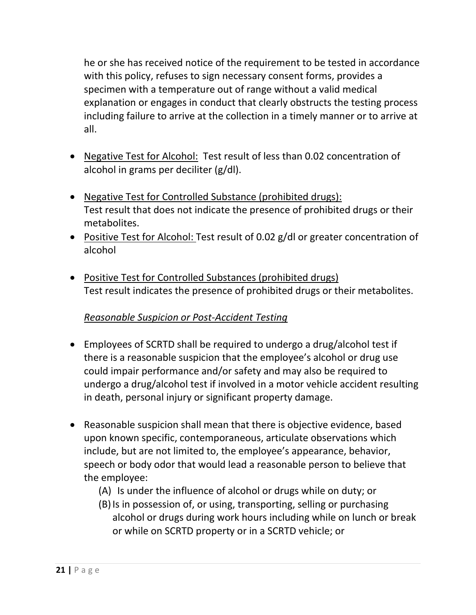he or she has received notice of the requirement to be tested in accordance with this policy, refuses to sign necessary consent forms, provides a specimen with a temperature out of range without a valid medical explanation or engages in conduct that clearly obstructs the testing process including failure to arrive at the collection in a timely manner or to arrive at all.

- Negative Test for Alcohol: Test result of less than 0.02 concentration of alcohol in grams per deciliter (g/dl).
- Negative Test for Controlled Substance (prohibited drugs): Test result that does not indicate the presence of prohibited drugs or their metabolites.
- Positive Test for Alcohol: Test result of 0.02 g/dl or greater concentration of alcohol
- Positive Test for Controlled Substances (prohibited drugs) Test result indicates the presence of prohibited drugs or their metabolites.

# *Reasonable Suspicion or Post-Accident Testing*

- Employees of SCRTD shall be required to undergo a drug/alcohol test if there is a reasonable suspicion that the employee's alcohol or drug use could impair performance and/or safety and may also be required to undergo a drug/alcohol test if involved in a motor vehicle accident resulting in death, personal injury or significant property damage.
- Reasonable suspicion shall mean that there is objective evidence, based upon known specific, contemporaneous, articulate observations which include, but are not limited to, the employee's appearance, behavior, speech or body odor that would lead a reasonable person to believe that the employee:
	- (A) Is under the influence of alcohol or drugs while on duty; or
	- (B)Is in possession of, or using, transporting, selling or purchasing alcohol or drugs during work hours including while on lunch or break or while on SCRTD property or in a SCRTD vehicle; or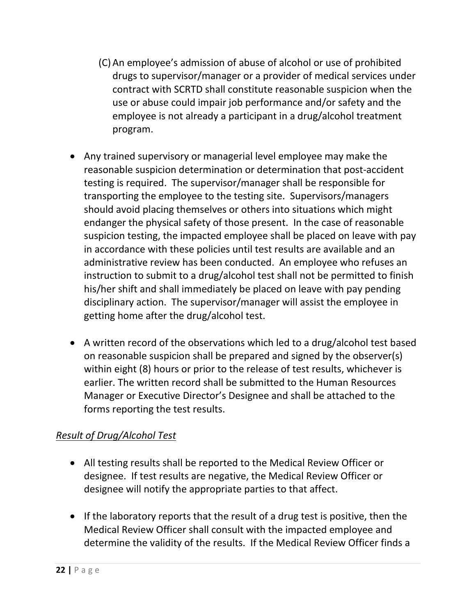- (C)An employee's admission of abuse of alcohol or use of prohibited drugs to supervisor/manager or a provider of medical services under contract with SCRTD shall constitute reasonable suspicion when the use or abuse could impair job performance and/or safety and the employee is not already a participant in a drug/alcohol treatment program.
- Any trained supervisory or managerial level employee may make the reasonable suspicion determination or determination that post-accident testing is required. The supervisor/manager shall be responsible for transporting the employee to the testing site. Supervisors/managers should avoid placing themselves or others into situations which might endanger the physical safety of those present. In the case of reasonable suspicion testing, the impacted employee shall be placed on leave with pay in accordance with these policies until test results are available and an administrative review has been conducted. An employee who refuses an instruction to submit to a drug/alcohol test shall not be permitted to finish his/her shift and shall immediately be placed on leave with pay pending disciplinary action. The supervisor/manager will assist the employee in getting home after the drug/alcohol test.
- A written record of the observations which led to a drug/alcohol test based on reasonable suspicion shall be prepared and signed by the observer(s) within eight (8) hours or prior to the release of test results, whichever is earlier. The written record shall be submitted to the Human Resources Manager or Executive Director's Designee and shall be attached to the forms reporting the test results.

## *Result of Drug/Alcohol Test*

- All testing results shall be reported to the Medical Review Officer or designee. If test results are negative, the Medical Review Officer or designee will notify the appropriate parties to that affect.
- If the laboratory reports that the result of a drug test is positive, then the Medical Review Officer shall consult with the impacted employee and determine the validity of the results. If the Medical Review Officer finds a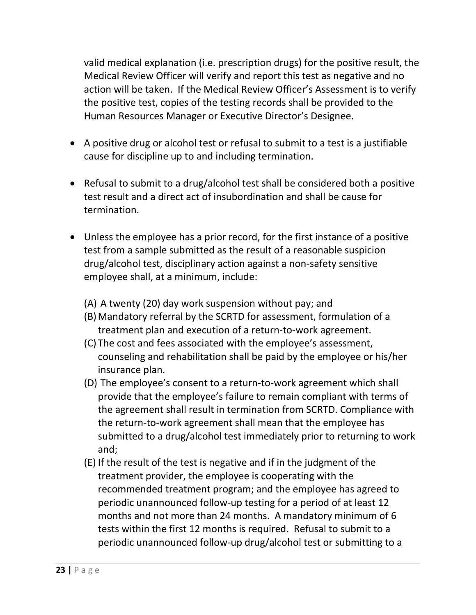valid medical explanation (i.e. prescription drugs) for the positive result, the Medical Review Officer will verify and report this test as negative and no action will be taken. If the Medical Review Officer's Assessment is to verify the positive test, copies of the testing records shall be provided to the Human Resources Manager or Executive Director's Designee.

- A positive drug or alcohol test or refusal to submit to a test is a justifiable cause for discipline up to and including termination.
- Refusal to submit to a drug/alcohol test shall be considered both a positive test result and a direct act of insubordination and shall be cause for termination.
- Unless the employee has a prior record, for the first instance of a positive test from a sample submitted as the result of a reasonable suspicion drug/alcohol test, disciplinary action against a non-safety sensitive employee shall, at a minimum, include:
	- (A) A twenty (20) day work suspension without pay; and
	- (B)Mandatory referral by the SCRTD for assessment, formulation of a treatment plan and execution of a return-to-work agreement.
	- (C) The cost and fees associated with the employee's assessment, counseling and rehabilitation shall be paid by the employee or his/her insurance plan.
	- (D) The employee's consent to a return-to-work agreement which shall provide that the employee's failure to remain compliant with terms of the agreement shall result in termination from SCRTD. Compliance with the return-to-work agreement shall mean that the employee has submitted to a drug/alcohol test immediately prior to returning to work and;
	- (E) If the result of the test is negative and if in the judgment of the treatment provider, the employee is cooperating with the recommended treatment program; and the employee has agreed to periodic unannounced follow-up testing for a period of at least 12 months and not more than 24 months. A mandatory minimum of 6 tests within the first 12 months is required. Refusal to submit to a periodic unannounced follow-up drug/alcohol test or submitting to a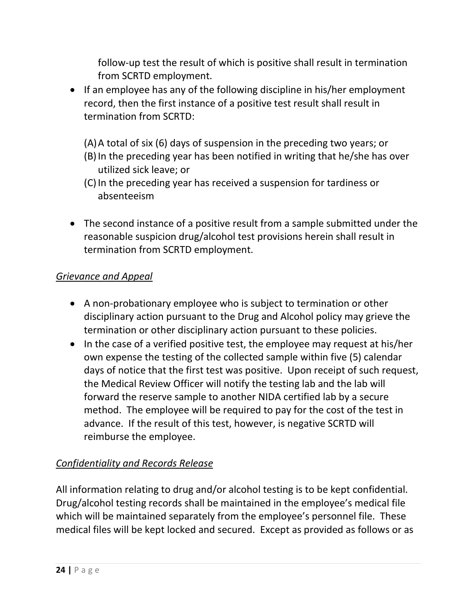follow-up test the result of which is positive shall result in termination from SCRTD employment.

- If an employee has any of the following discipline in his/her employment record, then the first instance of a positive test result shall result in termination from SCRTD:
	- (A)A total of six (6) days of suspension in the preceding two years; or (B)In the preceding year has been notified in writing that he/she has over utilized sick leave; or
	- (C)In the preceding year has received a suspension for tardiness or absenteeism
- The second instance of a positive result from a sample submitted under the reasonable suspicion drug/alcohol test provisions herein shall result in termination from SCRTD employment.

## *Grievance and Appeal*

- A non-probationary employee who is subject to termination or other disciplinary action pursuant to the Drug and Alcohol policy may grieve the termination or other disciplinary action pursuant to these policies.
- In the case of a verified positive test, the employee may request at his/her own expense the testing of the collected sample within five (5) calendar days of notice that the first test was positive. Upon receipt of such request, the Medical Review Officer will notify the testing lab and the lab will forward the reserve sample to another NIDA certified lab by a secure method. The employee will be required to pay for the cost of the test in advance. If the result of this test, however, is negative SCRTD will reimburse the employee.

# *Confidentiality and Records Release*

All information relating to drug and/or alcohol testing is to be kept confidential. Drug/alcohol testing records shall be maintained in the employee's medical file which will be maintained separately from the employee's personnel file. These medical files will be kept locked and secured. Except as provided as follows or as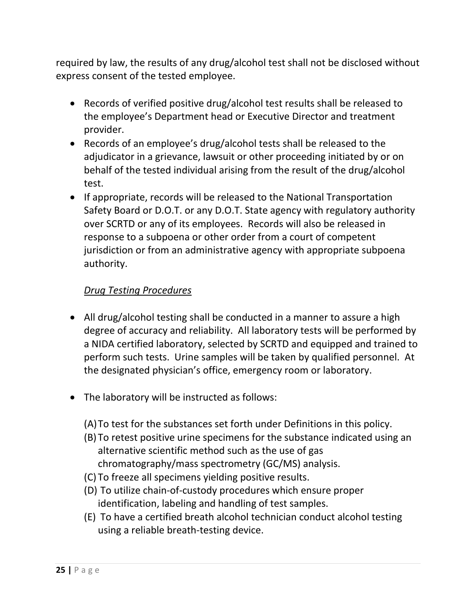required by law, the results of any drug/alcohol test shall not be disclosed without express consent of the tested employee.

- Records of verified positive drug/alcohol test results shall be released to the employee's Department head or Executive Director and treatment provider.
- Records of an employee's drug/alcohol tests shall be released to the adjudicator in a grievance, lawsuit or other proceeding initiated by or on behalf of the tested individual arising from the result of the drug/alcohol test.
- If appropriate, records will be released to the National Transportation Safety Board or D.O.T. or any D.O.T. State agency with regulatory authority over SCRTD or any of its employees. Records will also be released in response to a subpoena or other order from a court of competent jurisdiction or from an administrative agency with appropriate subpoena authority.

## *Drug Testing Procedures*

- All drug/alcohol testing shall be conducted in a manner to assure a high degree of accuracy and reliability. All laboratory tests will be performed by a NIDA certified laboratory, selected by SCRTD and equipped and trained to perform such tests. Urine samples will be taken by qualified personnel. At the designated physician's office, emergency room or laboratory.
- The laboratory will be instructed as follows:
	- (A)To test for the substances set forth under Definitions in this policy.
	- (B) To retest positive urine specimens for the substance indicated using an alternative scientific method such as the use of gas chromatography/mass spectrometry (GC/MS) analysis.
	- (C) To freeze all specimens yielding positive results.
	- (D) To utilize chain-of-custody procedures which ensure proper identification, labeling and handling of test samples.
	- (E) To have a certified breath alcohol technician conduct alcohol testing using a reliable breath-testing device.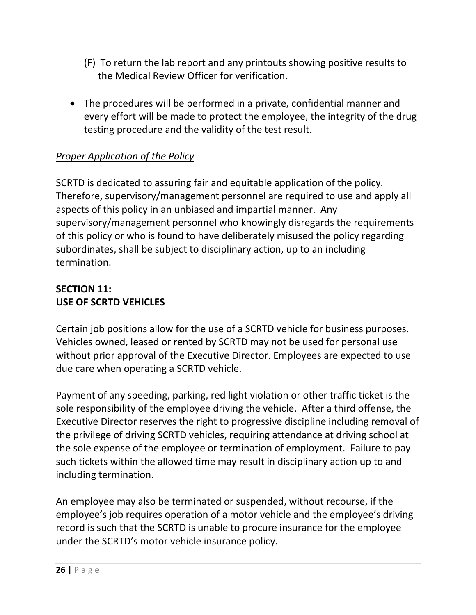- (F) To return the lab report and any printouts showing positive results to the Medical Review Officer for verification.
- The procedures will be performed in a private, confidential manner and every effort will be made to protect the employee, the integrity of the drug testing procedure and the validity of the test result.

# *Proper Application of the Policy*

SCRTD is dedicated to assuring fair and equitable application of the policy. Therefore, supervisory/management personnel are required to use and apply all aspects of this policy in an unbiased and impartial manner. Any supervisory/management personnel who knowingly disregards the requirements of this policy or who is found to have deliberately misused the policy regarding subordinates, shall be subject to disciplinary action, up to an including termination.

### **SECTION 11: USE OF SCRTD VEHICLES**

Certain job positions allow for the use of a SCRTD vehicle for business purposes. Vehicles owned, leased or rented by SCRTD may not be used for personal use without prior approval of the Executive Director. Employees are expected to use due care when operating a SCRTD vehicle.

Payment of any speeding, parking, red light violation or other traffic ticket is the sole responsibility of the employee driving the vehicle. After a third offense, the Executive Director reserves the right to progressive discipline including removal of the privilege of driving SCRTD vehicles, requiring attendance at driving school at the sole expense of the employee or termination of employment. Failure to pay such tickets within the allowed time may result in disciplinary action up to and including termination.

An employee may also be terminated or suspended, without recourse, if the employee's job requires operation of a motor vehicle and the employee's driving record is such that the SCRTD is unable to procure insurance for the employee under the SCRTD's motor vehicle insurance policy.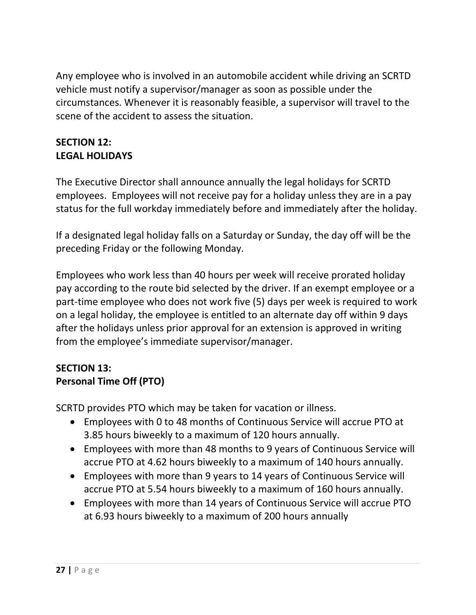Any employee who is involved in an automobile accident while driving an SCRTD vehicle must notify a supervisor/manager as soon as possible under the circumstances. Whenever it is reasonably feasible, a supervisor will travel to the scene of the accident to assess the situation.

### **SECTION 12: LEGAL HOLIDAYS**

The Executive Director shall announce annually the legal holidays for SCRTD employees. Employees will not receive pay for a holiday unless they are in a pay status for the full workday immediately before and immediately after the holiday.

If a designated legal holiday falls on a Saturday or Sunday, the day off will be the preceding Friday or the following Monday.

Employees who work less than 40 hours per week will receive prorated holiday pay according to the route bid selected by the driver. If an exempt employee or a part-time employee who does not work five (5) days per week is required to work on a legal holiday, the employee is entitled to an alternate day off within 9 days after the holidays unless prior approval for an extension is approved in writing from the employee's immediate supervisor/manager.

## **SECTION 13: Personal Time Off (PTO)**

SCRTD provides PTO which may be taken for vacation or illness.

- Employees with 0 to 48 months of Continuous Service will accrue PTO at 3.85 hours biweekly to a maximum of 120 hours annually.
- Employees with more than 48 months to 9 years of Continuous Service will accrue PTO at 4.62 hours biweekly to a maximum of 140 hours annually.
- Employees with more than 9 years to 14 years of Continuous Service will accrue PTO at 5.54 hours biweekly to a maximum of 160 hours annually.
- Employees with more than 14 years of Continuous Service will accrue PTO at 6.93 hours biweekly to a maximum of 200 hours annually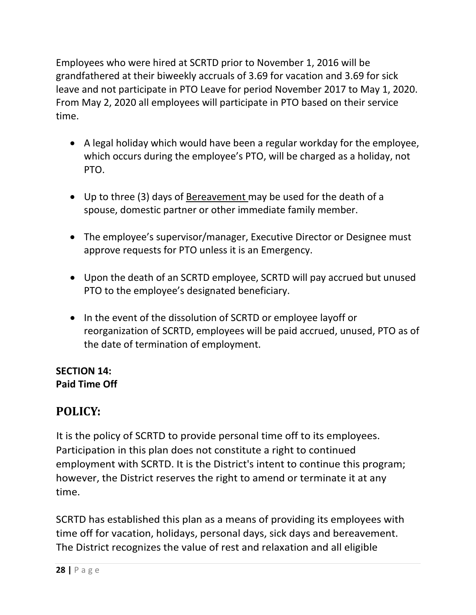Employees who were hired at SCRTD prior to November 1, 2016 will be grandfathered at their biweekly accruals of 3.69 for vacation and 3.69 for sick leave and not participate in PTO Leave for period November 2017 to May 1, 2020. From May 2, 2020 all employees will participate in PTO based on their service time.

- A legal holiday which would have been a regular workday for the employee, which occurs during the employee's PTO, will be charged as a holiday, not PTO.
- Up to three (3) days of Bereavement may be used for the death of a spouse, domestic partner or other immediate family member.
- The employee's supervisor/manager, Executive Director or Designee must approve requests for PTO unless it is an Emergency.
- Upon the death of an SCRTD employee, SCRTD will pay accrued but unused PTO to the employee's designated beneficiary.
- In the event of the dissolution of SCRTD or employee layoff or reorganization of SCRTD, employees will be paid accrued, unused, PTO as of the date of termination of employment.

## **SECTION 14: Paid Time Off**

# **POLICY:**

It is the policy of SCRTD to provide personal time off to its employees. Participation in this plan does not constitute a right to continued employment with SCRTD. It is the District's intent to continue this program; however, the District reserves the right to amend or terminate it at any time.

SCRTD has established this plan as a means of providing its employees with time off for vacation, holidays, personal days, sick days and bereavement. The District recognizes the value of rest and relaxation and all eligible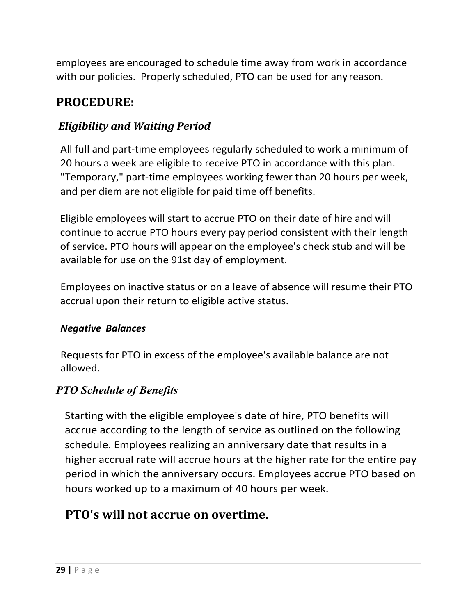employees are encouraged to schedule time away from work in accordance with our policies. Properly scheduled, PTO can be used for anyreason.

# **PROCEDURE:**

# *Eligibility and Waiting Period*

All full and part-time employees regularly scheduled to work a minimum of 20 hours a week are eligible to receive PTO in accordance with this plan. "Temporary," part-time employees working fewer than 20 hours per week, and per diem are not eligible for paid time off benefits.

Eligible employees will start to accrue PTO on their date of hire and will continue to accrue PTO hours every pay period consistent with their length of service. PTO hours will appear on the employee's check stub and will be available for use on the 91st day of employment.

Employees on inactive status or on a leave of absence will resume their PTO accrual upon their return to eligible active status.

## *Negative Balances*

Requests for PTO in excess of the employee's available balance are not allowed.

# *PTO Schedule of Benefits*

Starting with the eligible employee's date of hire, PTO benefits will accrue according to the length of service as outlined on the following schedule. Employees realizing an anniversary date that results in a higher accrual rate will accrue hours at the higher rate for the entire pay period in which the anniversary occurs. Employees accrue PTO based on hours worked up to a maximum of 40 hours per week.

# **PTO's will not accrue on overtime.**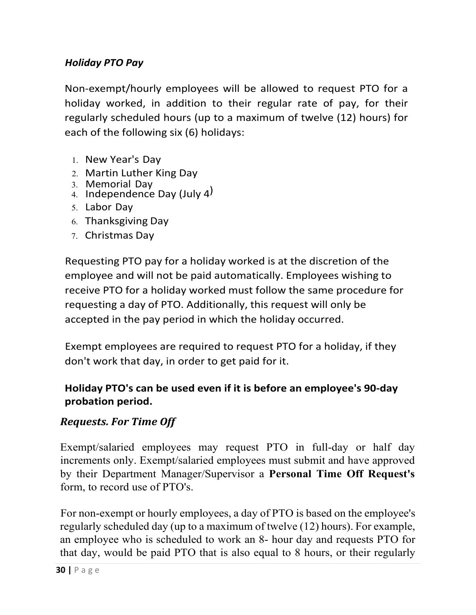## *Holiday PTO Pay*

Non-exempt/hourly employees will be allowed to request PTO for a holiday worked, in addition to their regular rate of pay, for their regularly scheduled hours (up to a maximum of twelve (12) hours) for each of the following six (6) holidays:

- 1. New Year's Day
- 2. Martin Luther King Day
- 
- 3. Memorial Day 4. Independence Day (July 4)
- 5. Labor Day
- 6. Thanksgiving Day
- 7. Christmas Day

Requesting PTO pay for a holiday worked is at the discretion of the employee and will not be paid automatically. Employees wishing to receive PTO for a holiday worked must follow the same procedure for requesting a day of PTO. Additionally, this request will only be accepted in the pay period in which the holiday occurred.

Exempt employees are required to request PTO for a holiday, if they don't work that day, in order to get paid for it.

# **Holiday PTO's can be used even if it is before an employee's 90-day probation period.**

# *Requests. For Time Off*

Exempt/salaried employees may request PTO in full-day or half day increments only. Exempt/salaried employees must submit and have approved by their Department Manager/Supervisor a **Personal Time Off Request's**  form, to record use of PTO's.

For non-exempt or hourly employees, a day of PTO is based on the employee's regularly scheduled day (up to a maximum of twelve (12) hours). For example, an employee who is scheduled to work an 8- hour day and requests PTO for that day, would be paid PTO that is also equal to 8 hours, or their regularly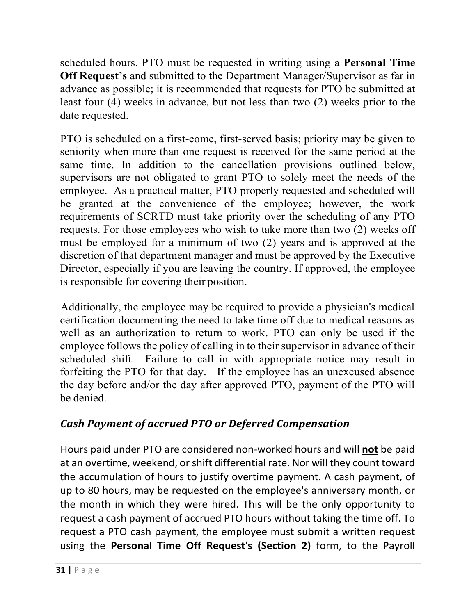scheduled hours. PTO must be requested in writing using a **Personal Time Off Request's** and submitted to the Department Manager/Supervisor as far in advance as possible; it is recommended that requests for PTO be submitted at least four (4) weeks in advance, but not less than two (2) weeks prior to the date requested.

PTO is scheduled on a first-come, first-served basis; priority may be given to seniority when more than one request is received for the same period at the same time. In addition to the cancellation provisions outlined below, supervisors are not obligated to grant PTO to solely meet the needs of the employee. As a practical matter, PTO properly requested and scheduled will be granted at the convenience of the employee; however, the work requirements of SCRTD must take priority over the scheduling of any PTO requests. For those employees who wish to take more than two (2) weeks off must be employed for a minimum of two (2) years and is approved at the discretion of that department manager and must be approved by the Executive Director, especially if you are leaving the country. If approved, the employee is responsible for covering their position.

Additionally, the employee may be required to provide a physician's medical certification documenting the need to take time off due to medical reasons as well as an authorization to return to work. PTO can only be used if the employee follows the policy of calling in to their supervisor in advance of their scheduled shift. Failure to call in with appropriate notice may result in forfeiting the PTO for that day. If the employee has an unexcused absence the day before and/or the day after approved PTO, payment of the PTO will be denied.

# *Cash Payment of accrued PTO or Deferred Compensation*

Hours paid under PTO are considered non-worked hours and will **not** be paid at an overtime, weekend, or shift differential rate. Nor will they count toward the accumulation of hours to justify overtime payment. A cash payment, of up to 80 hours, may be requested on the employee's anniversary month, or the month in which they were hired. This will be the only opportunity to request a cash payment of accrued PTO hours without taking the time off. To request a PTO cash payment, the employee must submit a written request using the **Personal Time Off Request's (Section 2)** form, to the Payroll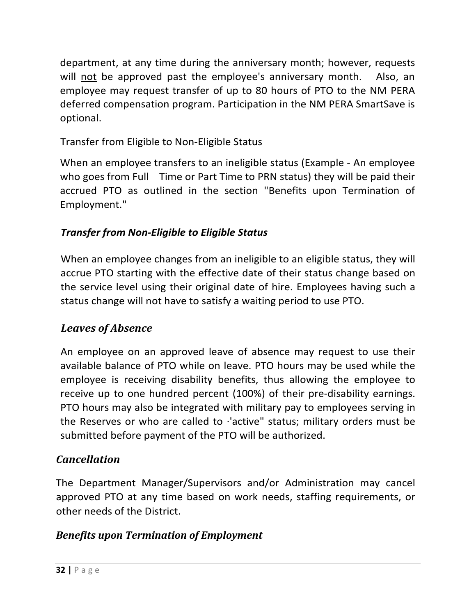department, at any time during the anniversary month; however, requests will not be approved past the employee's anniversary month. Also, an employee may request transfer of up to 80 hours of PTO to the NM PERA deferred compensation program. Participation in the NM PERA SmartSave is optional.

# Transfer from Eligible to Non-Eligible Status

When an employee transfers to an ineligible status (Example - An employee who goes from Full Time or Part Time to PRN status) they will be paid their accrued PTO as outlined in the section "Benefits upon Termination of Employment."

# *Transfer from Non-Eligible to Eligible Status*

When an employee changes from an ineligible to an eligible status, they will accrue PTO starting with the effective date of their status change based on the service level using their original date of hire. Employees having such a status change will not have to satisfy a waiting period to use PTO.

# *Leaves of Absence*

An employee on an approved leave of absence may request to use their available balance of PTO while on leave. PTO hours may be used while the employee is receiving disability benefits, thus allowing the employee to receive up to one hundred percent (100%) of their pre-disability earnings. PTO hours may also be integrated with military pay to employees serving in the Reserves or who are called to ·'active" status; military orders must be submitted before payment of the PTO will be authorized.

# *Cancellation*

The Department Manager/Supervisors and/or Administration may cancel approved PTO at any time based on work needs, staffing requirements, or other needs of the District.

# *Benefits upon Termination of Employment*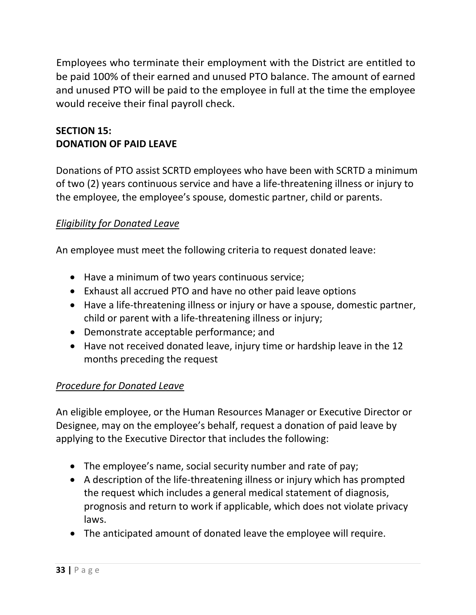Employees who terminate their employment with the District are entitled to be paid 100% of their earned and unused PTO balance. The amount of earned and unused PTO will be paid to the employee in full at the time the employee would receive their final payroll check.

# **SECTION 15: DONATION OF PAID LEAVE**

Donations of PTO assist SCRTD employees who have been with SCRTD a minimum of two (2) years continuous service and have a life-threatening illness or injury to the employee, the employee's spouse, domestic partner, child or parents.

## *Eligibility for Donated Leave*

An employee must meet the following criteria to request donated leave:

- Have a minimum of two years continuous service;
- Exhaust all accrued PTO and have no other paid leave options
- Have a life-threatening illness or injury or have a spouse, domestic partner, child or parent with a life-threatening illness or injury;
- Demonstrate acceptable performance; and
- Have not received donated leave, injury time or hardship leave in the 12 months preceding the request

# *Procedure for Donated Leave*

An eligible employee, or the Human Resources Manager or Executive Director or Designee, may on the employee's behalf, request a donation of paid leave by applying to the Executive Director that includes the following:

- The employee's name, social security number and rate of pay;
- A description of the life-threatening illness or injury which has prompted the request which includes a general medical statement of diagnosis, prognosis and return to work if applicable, which does not violate privacy laws.
- The anticipated amount of donated leave the employee will require.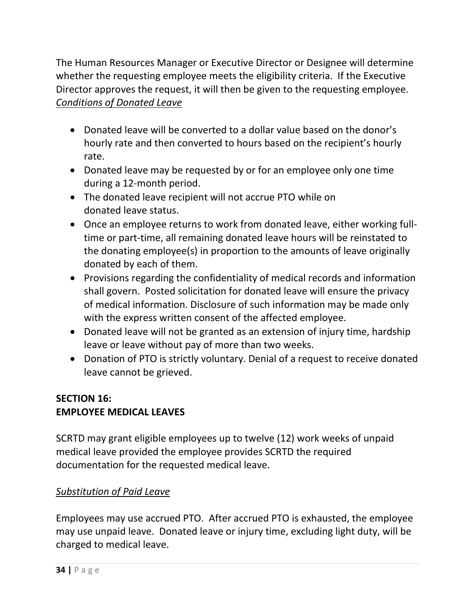The Human Resources Manager or Executive Director or Designee will determine whether the requesting employee meets the eligibility criteria. If the Executive Director approves the request, it will then be given to the requesting employee. *Conditions of Donated Leave*

- Donated leave will be converted to a dollar value based on the donor's hourly rate and then converted to hours based on the recipient's hourly rate.
- Donated leave may be requested by or for an employee only one time during a 12-month period.
- The donated leave recipient will not accrue PTO while on donated leave status.
- Once an employee returns to work from donated leave, either working fulltime or part-time, all remaining donated leave hours will be reinstated to the donating employee(s) in proportion to the amounts of leave originally donated by each of them.
- Provisions regarding the confidentiality of medical records and information shall govern. Posted solicitation for donated leave will ensure the privacy of medical information. Disclosure of such information may be made only with the express written consent of the affected employee.
- Donated leave will not be granted as an extension of injury time, hardship leave or leave without pay of more than two weeks.
- Donation of PTO is strictly voluntary. Denial of a request to receive donated leave cannot be grieved.

## **SECTION 16: EMPLOYEE MEDICAL LEAVES**

SCRTD may grant eligible employees up to twelve (12) work weeks of unpaid medical leave provided the employee provides SCRTD the required documentation for the requested medical leave.

## *Substitution of Paid Leave*

Employees may use accrued PTO. After accrued PTO is exhausted, the employee may use unpaid leave. Donated leave or injury time, excluding light duty, will be charged to medical leave.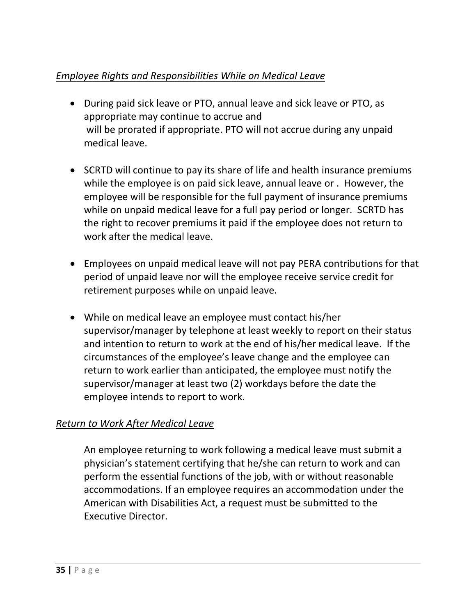# *Employee Rights and Responsibilities While on Medical Leave*

- During paid sick leave or PTO, annual leave and sick leave or PTO, as appropriate may continue to accrue and will be prorated if appropriate. PTO will not accrue during any unpaid medical leave.
- SCRTD will continue to pay its share of life and health insurance premiums while the employee is on paid sick leave, annual leave or . However, the employee will be responsible for the full payment of insurance premiums while on unpaid medical leave for a full pay period or longer. SCRTD has the right to recover premiums it paid if the employee does not return to work after the medical leave.
- Employees on unpaid medical leave will not pay PERA contributions for that period of unpaid leave nor will the employee receive service credit for retirement purposes while on unpaid leave.
- While on medical leave an employee must contact his/her supervisor/manager by telephone at least weekly to report on their status and intention to return to work at the end of his/her medical leave. If the circumstances of the employee's leave change and the employee can return to work earlier than anticipated, the employee must notify the supervisor/manager at least two (2) workdays before the date the employee intends to report to work.

## *Return to Work After Medical Leave*

An employee returning to work following a medical leave must submit a physician's statement certifying that he/she can return to work and can perform the essential functions of the job, with or without reasonable accommodations. If an employee requires an accommodation under the American with Disabilities Act, a request must be submitted to the Executive Director.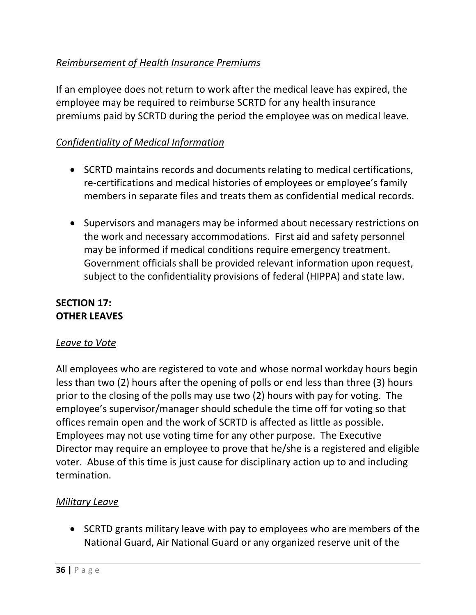## *Reimbursement of Health Insurance Premiums*

If an employee does not return to work after the medical leave has expired, the employee may be required to reimburse SCRTD for any health insurance premiums paid by SCRTD during the period the employee was on medical leave.

## *Confidentiality of Medical Information*

- SCRTD maintains records and documents relating to medical certifications, re-certifications and medical histories of employees or employee's family members in separate files and treats them as confidential medical records.
- Supervisors and managers may be informed about necessary restrictions on the work and necessary accommodations. First aid and safety personnel may be informed if medical conditions require emergency treatment. Government officials shall be provided relevant information upon request, subject to the confidentiality provisions of federal (HIPPA) and state law.

### **SECTION 17: OTHER LEAVES**

#### *Leave to Vote*

All employees who are registered to vote and whose normal workday hours begin less than two (2) hours after the opening of polls or end less than three (3) hours prior to the closing of the polls may use two (2) hours with pay for voting. The employee's supervisor/manager should schedule the time off for voting so that offices remain open and the work of SCRTD is affected as little as possible. Employees may not use voting time for any other purpose. The Executive Director may require an employee to prove that he/she is a registered and eligible voter. Abuse of this time is just cause for disciplinary action up to and including termination.

#### *Military Leave*

• SCRTD grants military leave with pay to employees who are members of the National Guard, Air National Guard or any organized reserve unit of the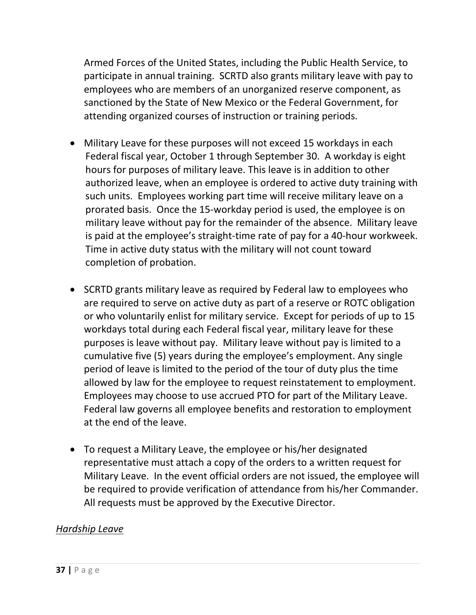Armed Forces of the United States, including the Public Health Service, to participate in annual training. SCRTD also grants military leave with pay to employees who are members of an unorganized reserve component, as sanctioned by the State of New Mexico or the Federal Government, for attending organized courses of instruction or training periods.

- Military Leave for these purposes will not exceed 15 workdays in each Federal fiscal year, October 1 through September 30. A workday is eight hours for purposes of military leave. This leave is in addition to other authorized leave, when an employee is ordered to active duty training with such units. Employees working part time will receive military leave on a prorated basis. Once the 15-workday period is used, the employee is on military leave without pay for the remainder of the absence. Military leave is paid at the employee's straight-time rate of pay for a 40-hour workweek. Time in active duty status with the military will not count toward completion of probation.
- SCRTD grants military leave as required by Federal law to employees who are required to serve on active duty as part of a reserve or ROTC obligation or who voluntarily enlist for military service. Except for periods of up to 15 workdays total during each Federal fiscal year, military leave for these purposes is leave without pay. Military leave without pay is limited to a cumulative five (5) years during the employee's employment. Any single period of leave is limited to the period of the tour of duty plus the time allowed by law for the employee to request reinstatement to employment. Employees may choose to use accrued PTO for part of the Military Leave. Federal law governs all employee benefits and restoration to employment at the end of the leave.
- To request a Military Leave, the employee or his/her designated representative must attach a copy of the orders to a written request for Military Leave. In the event official orders are not issued, the employee will be required to provide verification of attendance from his/her Commander. All requests must be approved by the Executive Director.

#### *Hardship Leave*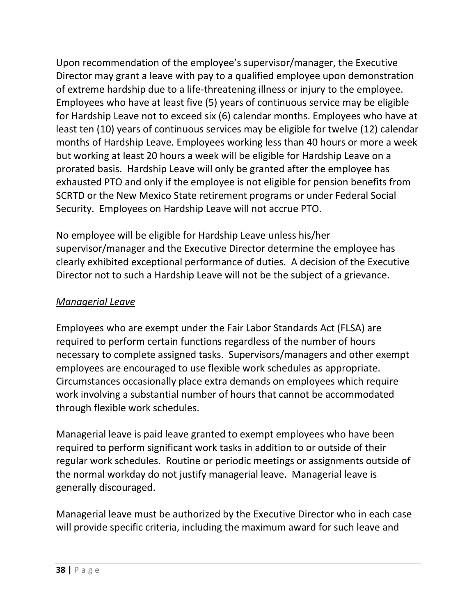Upon recommendation of the employee's supervisor/manager, the Executive Director may grant a leave with pay to a qualified employee upon demonstration of extreme hardship due to a life-threatening illness or injury to the employee. Employees who have at least five (5) years of continuous service may be eligible for Hardship Leave not to exceed six (6) calendar months. Employees who have at least ten (10) years of continuous services may be eligible for twelve (12) calendar months of Hardship Leave. Employees working less than 40 hours or more a week but working at least 20 hours a week will be eligible for Hardship Leave on a prorated basis. Hardship Leave will only be granted after the employee has exhausted PTO and only if the employee is not eligible for pension benefits from SCRTD or the New Mexico State retirement programs or under Federal Social Security. Employees on Hardship Leave will not accrue PTO.

No employee will be eligible for Hardship Leave unless his/her supervisor/manager and the Executive Director determine the employee has clearly exhibited exceptional performance of duties. A decision of the Executive Director not to such a Hardship Leave will not be the subject of a grievance.

### *Managerial Leave*

Employees who are exempt under the Fair Labor Standards Act (FLSA) are required to perform certain functions regardless of the number of hours necessary to complete assigned tasks. Supervisors/managers and other exempt employees are encouraged to use flexible work schedules as appropriate. Circumstances occasionally place extra demands on employees which require work involving a substantial number of hours that cannot be accommodated through flexible work schedules.

Managerial leave is paid leave granted to exempt employees who have been required to perform significant work tasks in addition to or outside of their regular work schedules. Routine or periodic meetings or assignments outside of the normal workday do not justify managerial leave. Managerial leave is generally discouraged.

Managerial leave must be authorized by the Executive Director who in each case will provide specific criteria, including the maximum award for such leave and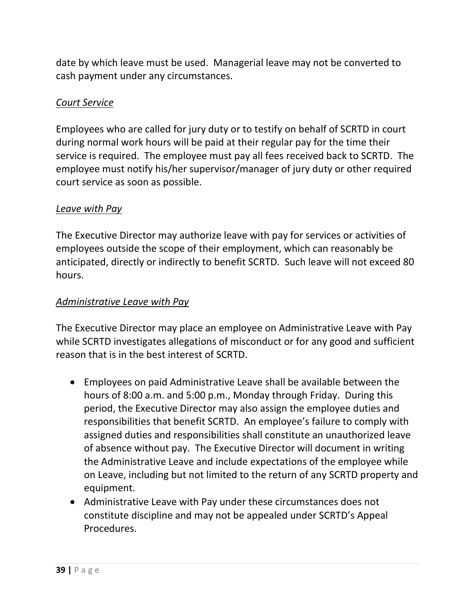date by which leave must be used. Managerial leave may not be converted to cash payment under any circumstances.

#### *Court Service*

Employees who are called for jury duty or to testify on behalf of SCRTD in court during normal work hours will be paid at their regular pay for the time their service is required. The employee must pay all fees received back to SCRTD. The employee must notify his/her supervisor/manager of jury duty or other required court service as soon as possible.

#### *Leave with Pay*

The Executive Director may authorize leave with pay for services or activities of employees outside the scope of their employment, which can reasonably be anticipated, directly or indirectly to benefit SCRTD. Such leave will not exceed 80 hours.

#### *Administrative Leave with Pay*

The Executive Director may place an employee on Administrative Leave with Pay while SCRTD investigates allegations of misconduct or for any good and sufficient reason that is in the best interest of SCRTD.

- Employees on paid Administrative Leave shall be available between the hours of 8:00 a.m. and 5:00 p.m., Monday through Friday. During this period, the Executive Director may also assign the employee duties and responsibilities that benefit SCRTD. An employee's failure to comply with assigned duties and responsibilities shall constitute an unauthorized leave of absence without pay. The Executive Director will document in writing the Administrative Leave and include expectations of the employee while on Leave, including but not limited to the return of any SCRTD property and equipment.
- Administrative Leave with Pay under these circumstances does not constitute discipline and may not be appealed under SCRTD's Appeal Procedures.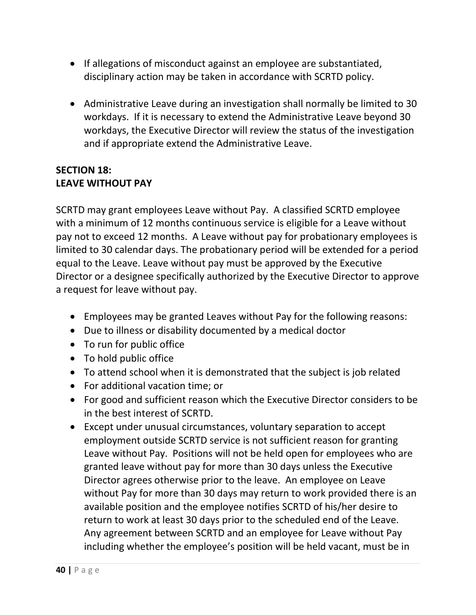- If allegations of misconduct against an employee are substantiated, disciplinary action may be taken in accordance with SCRTD policy.
- Administrative Leave during an investigation shall normally be limited to 30 workdays. If it is necessary to extend the Administrative Leave beyond 30 workdays, the Executive Director will review the status of the investigation and if appropriate extend the Administrative Leave.

### **SECTION 18: LEAVE WITHOUT PAY**

SCRTD may grant employees Leave without Pay. A classified SCRTD employee with a minimum of 12 months continuous service is eligible for a Leave without pay not to exceed 12 months. A Leave without pay for probationary employees is limited to 30 calendar days. The probationary period will be extended for a period equal to the Leave. Leave without pay must be approved by the Executive Director or a designee specifically authorized by the Executive Director to approve a request for leave without pay.

- Employees may be granted Leaves without Pay for the following reasons:
- Due to illness or disability documented by a medical doctor
- To run for public office
- To hold public office
- To attend school when it is demonstrated that the subject is job related
- For additional vacation time; or
- For good and sufficient reason which the Executive Director considers to be in the best interest of SCRTD.
- Except under unusual circumstances, voluntary separation to accept employment outside SCRTD service is not sufficient reason for granting Leave without Pay. Positions will not be held open for employees who are granted leave without pay for more than 30 days unless the Executive Director agrees otherwise prior to the leave. An employee on Leave without Pay for more than 30 days may return to work provided there is an available position and the employee notifies SCRTD of his/her desire to return to work at least 30 days prior to the scheduled end of the Leave. Any agreement between SCRTD and an employee for Leave without Pay including whether the employee's position will be held vacant, must be in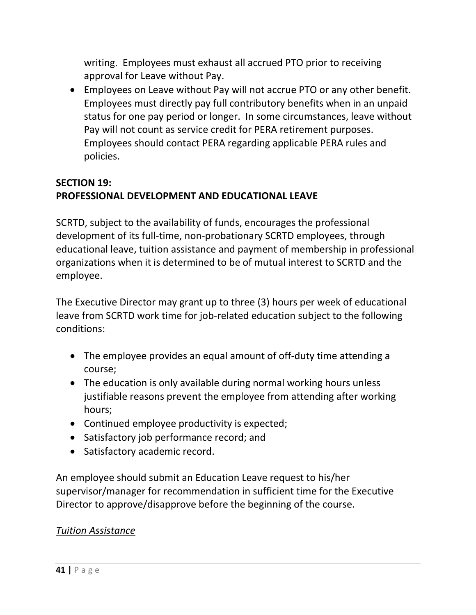writing. Employees must exhaust all accrued PTO prior to receiving approval for Leave without Pay.

• Employees on Leave without Pay will not accrue PTO or any other benefit. Employees must directly pay full contributory benefits when in an unpaid status for one pay period or longer. In some circumstances, leave without Pay will not count as service credit for PERA retirement purposes. Employees should contact PERA regarding applicable PERA rules and policies.

# **SECTION 19: PROFESSIONAL DEVELOPMENT AND EDUCATIONAL LEAVE**

SCRTD, subject to the availability of funds, encourages the professional development of its full-time, non-probationary SCRTD employees, through educational leave, tuition assistance and payment of membership in professional organizations when it is determined to be of mutual interest to SCRTD and the employee.

The Executive Director may grant up to three (3) hours per week of educational leave from SCRTD work time for job-related education subject to the following conditions:

- The employee provides an equal amount of off-duty time attending a course;
- The education is only available during normal working hours unless justifiable reasons prevent the employee from attending after working hours;
- Continued employee productivity is expected;
- Satisfactory job performance record; and
- Satisfactory academic record.

An employee should submit an Education Leave request to his/her supervisor/manager for recommendation in sufficient time for the Executive Director to approve/disapprove before the beginning of the course.

## *Tuition Assistance*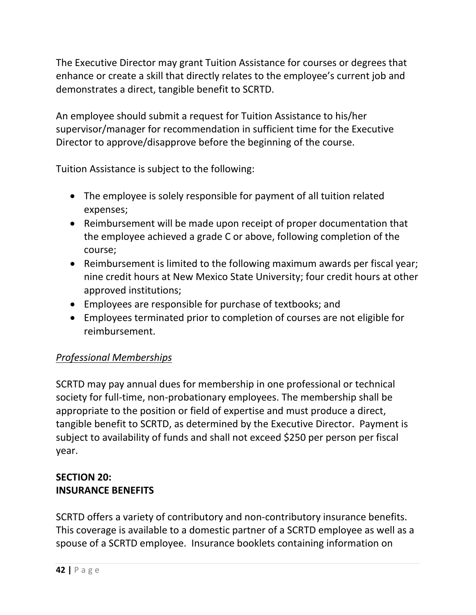The Executive Director may grant Tuition Assistance for courses or degrees that enhance or create a skill that directly relates to the employee's current job and demonstrates a direct, tangible benefit to SCRTD.

An employee should submit a request for Tuition Assistance to his/her supervisor/manager for recommendation in sufficient time for the Executive Director to approve/disapprove before the beginning of the course.

Tuition Assistance is subject to the following:

- The employee is solely responsible for payment of all tuition related expenses;
- Reimbursement will be made upon receipt of proper documentation that the employee achieved a grade C or above, following completion of the course;
- Reimbursement is limited to the following maximum awards per fiscal year; nine credit hours at New Mexico State University; four credit hours at other approved institutions;
- Employees are responsible for purchase of textbooks; and
- Employees terminated prior to completion of courses are not eligible for reimbursement.

# *Professional Memberships*

SCRTD may pay annual dues for membership in one professional or technical society for full-time, non-probationary employees. The membership shall be appropriate to the position or field of expertise and must produce a direct, tangible benefit to SCRTD, as determined by the Executive Director. Payment is subject to availability of funds and shall not exceed \$250 per person per fiscal year.

# **SECTION 20: INSURANCE BENEFITS**

SCRTD offers a variety of contributory and non-contributory insurance benefits. This coverage is available to a domestic partner of a SCRTD employee as well as a spouse of a SCRTD employee. Insurance booklets containing information on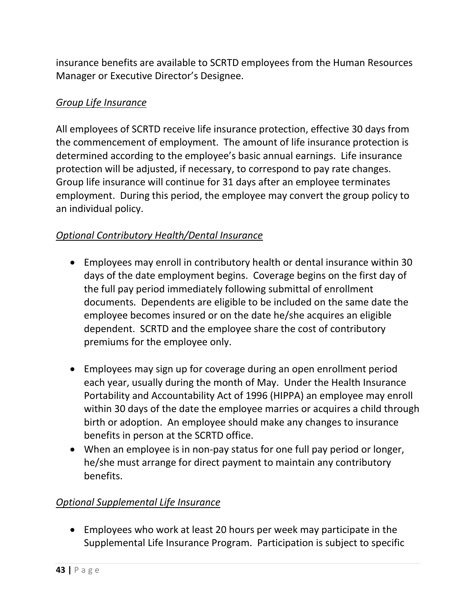insurance benefits are available to SCRTD employees from the Human Resources Manager or Executive Director's Designee.

### *Group Life Insurance*

All employees of SCRTD receive life insurance protection, effective 30 days from the commencement of employment. The amount of life insurance protection is determined according to the employee's basic annual earnings. Life insurance protection will be adjusted, if necessary, to correspond to pay rate changes. Group life insurance will continue for 31 days after an employee terminates employment. During this period, the employee may convert the group policy to an individual policy.

## *Optional Contributory Health/Dental Insurance*

- Employees may enroll in contributory health or dental insurance within 30 days of the date employment begins. Coverage begins on the first day of the full pay period immediately following submittal of enrollment documents. Dependents are eligible to be included on the same date the employee becomes insured or on the date he/she acquires an eligible dependent. SCRTD and the employee share the cost of contributory premiums for the employee only.
- Employees may sign up for coverage during an open enrollment period each year, usually during the month of May. Under the Health Insurance Portability and Accountability Act of 1996 (HIPPA) an employee may enroll within 30 days of the date the employee marries or acquires a child through birth or adoption. An employee should make any changes to insurance benefits in person at the SCRTD office.
- When an employee is in non-pay status for one full pay period or longer, he/she must arrange for direct payment to maintain any contributory benefits.

## *Optional Supplemental Life Insurance*

• Employees who work at least 20 hours per week may participate in the Supplemental Life Insurance Program. Participation is subject to specific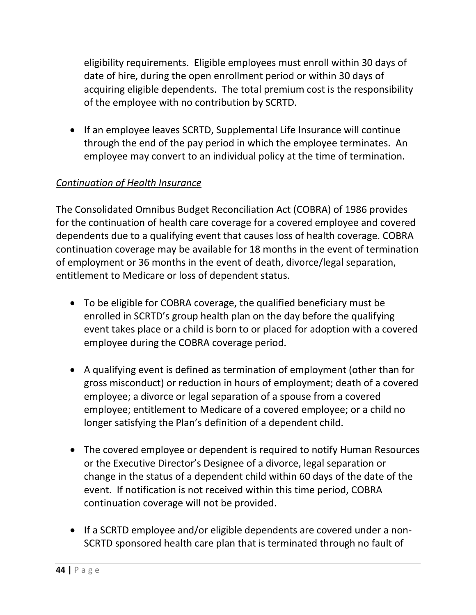eligibility requirements. Eligible employees must enroll within 30 days of date of hire, during the open enrollment period or within 30 days of acquiring eligible dependents. The total premium cost is the responsibility of the employee with no contribution by SCRTD.

• If an employee leaves SCRTD, Supplemental Life Insurance will continue through the end of the pay period in which the employee terminates. An employee may convert to an individual policy at the time of termination.

## *Continuation of Health Insurance*

The Consolidated Omnibus Budget Reconciliation Act (COBRA) of 1986 provides for the continuation of health care coverage for a covered employee and covered dependents due to a qualifying event that causes loss of health coverage. COBRA continuation coverage may be available for 18 months in the event of termination of employment or 36 months in the event of death, divorce/legal separation, entitlement to Medicare or loss of dependent status.

- To be eligible for COBRA coverage, the qualified beneficiary must be enrolled in SCRTD's group health plan on the day before the qualifying event takes place or a child is born to or placed for adoption with a covered employee during the COBRA coverage period.
- A qualifying event is defined as termination of employment (other than for gross misconduct) or reduction in hours of employment; death of a covered employee; a divorce or legal separation of a spouse from a covered employee; entitlement to Medicare of a covered employee; or a child no longer satisfying the Plan's definition of a dependent child.
- The covered employee or dependent is required to notify Human Resources or the Executive Director's Designee of a divorce, legal separation or change in the status of a dependent child within 60 days of the date of the event. If notification is not received within this time period, COBRA continuation coverage will not be provided.
- If a SCRTD employee and/or eligible dependents are covered under a non-SCRTD sponsored health care plan that is terminated through no fault of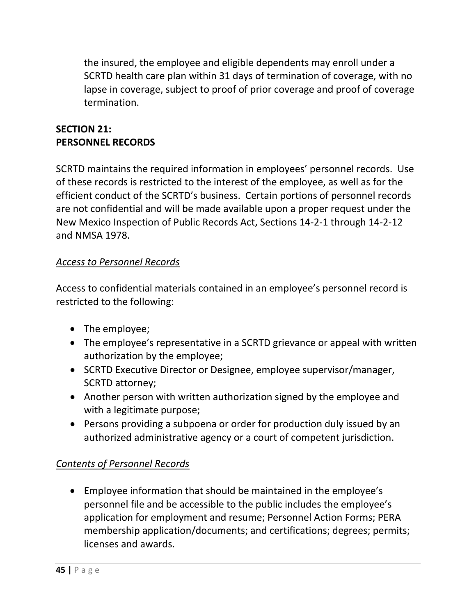the insured, the employee and eligible dependents may enroll under a SCRTD health care plan within 31 days of termination of coverage, with no lapse in coverage, subject to proof of prior coverage and proof of coverage termination.

## **SECTION 21: PERSONNEL RECORDS**

SCRTD maintains the required information in employees' personnel records. Use of these records is restricted to the interest of the employee, as well as for the efficient conduct of the SCRTD's business. Certain portions of personnel records are not confidential and will be made available upon a proper request under the New Mexico Inspection of Public Records Act, Sections 14-2-1 through 14-2-12 and NMSA 1978.

## *Access to Personnel Records*

Access to confidential materials contained in an employee's personnel record is restricted to the following:

- The employee;
- The employee's representative in a SCRTD grievance or appeal with written authorization by the employee;
- SCRTD Executive Director or Designee, employee supervisor/manager, SCRTD attorney;
- Another person with written authorization signed by the employee and with a legitimate purpose;
- Persons providing a subpoena or order for production duly issued by an authorized administrative agency or a court of competent jurisdiction.

# *Contents of Personnel Records*

• Employee information that should be maintained in the employee's personnel file and be accessible to the public includes the employee's application for employment and resume; Personnel Action Forms; PERA membership application/documents; and certifications; degrees; permits; licenses and awards.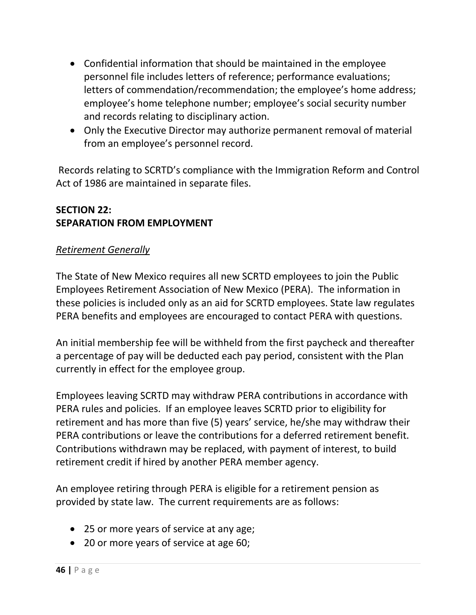- Confidential information that should be maintained in the employee personnel file includes letters of reference; performance evaluations; letters of commendation/recommendation; the employee's home address; employee's home telephone number; employee's social security number and records relating to disciplinary action.
- Only the Executive Director may authorize permanent removal of material from an employee's personnel record.

Records relating to SCRTD's compliance with the Immigration Reform and Control Act of 1986 are maintained in separate files.

### **SECTION 22: SEPARATION FROM EMPLOYMENT**

#### *Retirement Generally*

The State of New Mexico requires all new SCRTD employees to join the Public Employees Retirement Association of New Mexico (PERA). The information in these policies is included only as an aid for SCRTD employees. State law regulates PERA benefits and employees are encouraged to contact PERA with questions.

An initial membership fee will be withheld from the first paycheck and thereafter a percentage of pay will be deducted each pay period, consistent with the Plan currently in effect for the employee group.

Employees leaving SCRTD may withdraw PERA contributions in accordance with PERA rules and policies. If an employee leaves SCRTD prior to eligibility for retirement and has more than five (5) years' service, he/she may withdraw their PERA contributions or leave the contributions for a deferred retirement benefit. Contributions withdrawn may be replaced, with payment of interest, to build retirement credit if hired by another PERA member agency.

An employee retiring through PERA is eligible for a retirement pension as provided by state law. The current requirements are as follows:

- 25 or more years of service at any age;
- 20 or more years of service at age 60;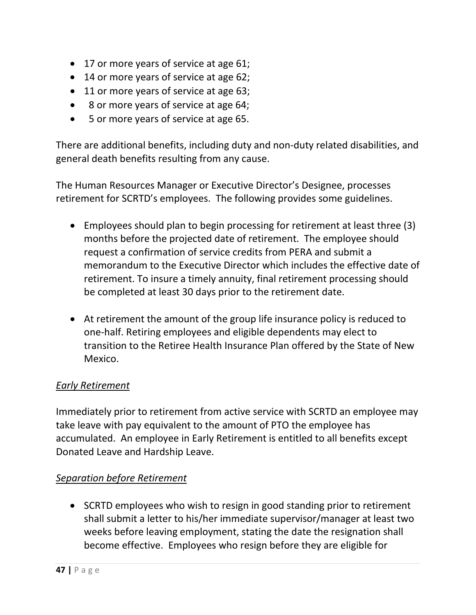- 17 or more years of service at age 61;
- 14 or more years of service at age 62;
- 11 or more years of service at age 63;
- 8 or more years of service at age 64;
- 5 or more years of service at age 65.

There are additional benefits, including duty and non-duty related disabilities, and general death benefits resulting from any cause.

The Human Resources Manager or Executive Director's Designee, processes retirement for SCRTD's employees. The following provides some guidelines.

- Employees should plan to begin processing for retirement at least three (3) months before the projected date of retirement. The employee should request a confirmation of service credits from PERA and submit a memorandum to the Executive Director which includes the effective date of retirement. To insure a timely annuity, final retirement processing should be completed at least 30 days prior to the retirement date.
- At retirement the amount of the group life insurance policy is reduced to one-half. Retiring employees and eligible dependents may elect to transition to the Retiree Health Insurance Plan offered by the State of New Mexico.

#### *Early Retirement*

Immediately prior to retirement from active service with SCRTD an employee may take leave with pay equivalent to the amount of PTO the employee has accumulated. An employee in Early Retirement is entitled to all benefits except Donated Leave and Hardship Leave.

#### *Separation before Retirement*

• SCRTD employees who wish to resign in good standing prior to retirement shall submit a letter to his/her immediate supervisor/manager at least two weeks before leaving employment, stating the date the resignation shall become effective. Employees who resign before they are eligible for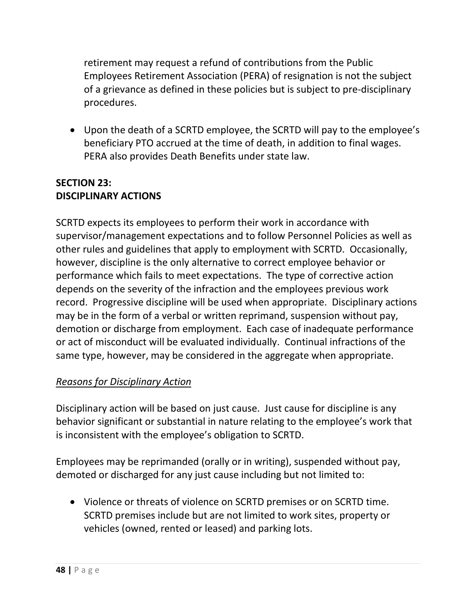retirement may request a refund of contributions from the Public Employees Retirement Association (PERA) of resignation is not the subject of a grievance as defined in these policies but is subject to pre-disciplinary procedures.

• Upon the death of a SCRTD employee, the SCRTD will pay to the employee's beneficiary PTO accrued at the time of death, in addition to final wages. PERA also provides Death Benefits under state law.

### **SECTION 23: DISCIPLINARY ACTIONS**

SCRTD expects its employees to perform their work in accordance with supervisor/management expectations and to follow Personnel Policies as well as other rules and guidelines that apply to employment with SCRTD. Occasionally, however, discipline is the only alternative to correct employee behavior or performance which fails to meet expectations. The type of corrective action depends on the severity of the infraction and the employees previous work record. Progressive discipline will be used when appropriate. Disciplinary actions may be in the form of a verbal or written reprimand, suspension without pay, demotion or discharge from employment. Each case of inadequate performance or act of misconduct will be evaluated individually. Continual infractions of the same type, however, may be considered in the aggregate when appropriate.

## *Reasons for Disciplinary Action*

Disciplinary action will be based on just cause. Just cause for discipline is any behavior significant or substantial in nature relating to the employee's work that is inconsistent with the employee's obligation to SCRTD.

Employees may be reprimanded (orally or in writing), suspended without pay, demoted or discharged for any just cause including but not limited to:

• Violence or threats of violence on SCRTD premises or on SCRTD time. SCRTD premises include but are not limited to work sites, property or vehicles (owned, rented or leased) and parking lots.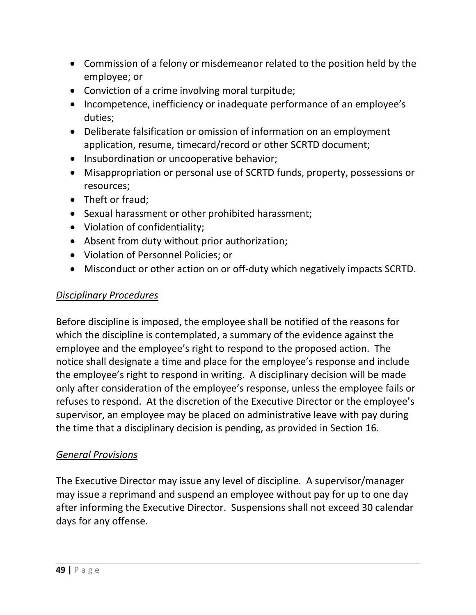- Commission of a felony or misdemeanor related to the position held by the employee; or
- Conviction of a crime involving moral turpitude;
- Incompetence, inefficiency or inadequate performance of an employee's duties;
- Deliberate falsification or omission of information on an employment application, resume, timecard/record or other SCRTD document;
- Insubordination or uncooperative behavior;
- Misappropriation or personal use of SCRTD funds, property, possessions or resources;
- Theft or fraud;
- Sexual harassment or other prohibited harassment;
- Violation of confidentiality;
- Absent from duty without prior authorization;
- Violation of Personnel Policies; or
- Misconduct or other action on or off-duty which negatively impacts SCRTD.

#### *Disciplinary Procedures*

Before discipline is imposed, the employee shall be notified of the reasons for which the discipline is contemplated, a summary of the evidence against the employee and the employee's right to respond to the proposed action. The notice shall designate a time and place for the employee's response and include the employee's right to respond in writing. A disciplinary decision will be made only after consideration of the employee's response, unless the employee fails or refuses to respond. At the discretion of the Executive Director or the employee's supervisor, an employee may be placed on administrative leave with pay during the time that a disciplinary decision is pending, as provided in Section 16.

#### *General Provisions*

The Executive Director may issue any level of discipline. A supervisor/manager may issue a reprimand and suspend an employee without pay for up to one day after informing the Executive Director. Suspensions shall not exceed 30 calendar days for any offense.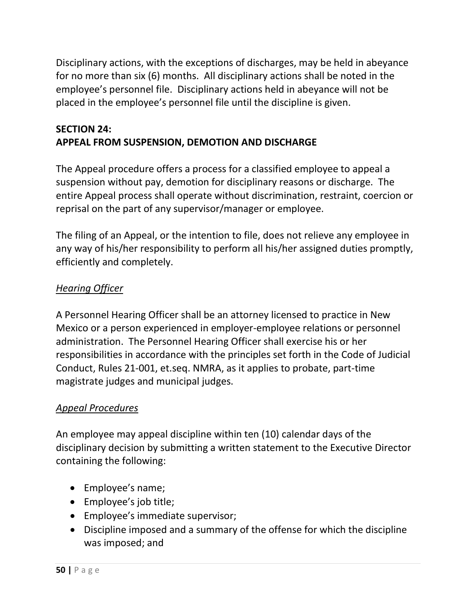Disciplinary actions, with the exceptions of discharges, may be held in abeyance for no more than six (6) months. All disciplinary actions shall be noted in the employee's personnel file. Disciplinary actions held in abeyance will not be placed in the employee's personnel file until the discipline is given.

## **SECTION 24: APPEAL FROM SUSPENSION, DEMOTION AND DISCHARGE**

The Appeal procedure offers a process for a classified employee to appeal a suspension without pay, demotion for disciplinary reasons or discharge. The entire Appeal process shall operate without discrimination, restraint, coercion or reprisal on the part of any supervisor/manager or employee.

The filing of an Appeal, or the intention to file, does not relieve any employee in any way of his/her responsibility to perform all his/her assigned duties promptly, efficiently and completely.

## *Hearing Officer*

A Personnel Hearing Officer shall be an attorney licensed to practice in New Mexico or a person experienced in employer-employee relations or personnel administration. The Personnel Hearing Officer shall exercise his or her responsibilities in accordance with the principles set forth in the Code of Judicial Conduct, Rules 21-001, et.seq. NMRA, as it applies to probate, part-time magistrate judges and municipal judges.

## *Appeal Procedures*

An employee may appeal discipline within ten (10) calendar days of the disciplinary decision by submitting a written statement to the Executive Director containing the following:

- Employee's name;
- Employee's job title;
- Employee's immediate supervisor;
- Discipline imposed and a summary of the offense for which the discipline was imposed; and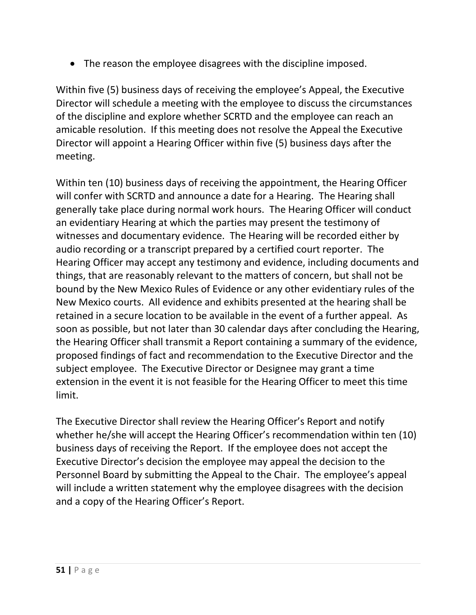• The reason the employee disagrees with the discipline imposed.

Within five (5) business days of receiving the employee's Appeal, the Executive Director will schedule a meeting with the employee to discuss the circumstances of the discipline and explore whether SCRTD and the employee can reach an amicable resolution. If this meeting does not resolve the Appeal the Executive Director will appoint a Hearing Officer within five (5) business days after the meeting.

Within ten (10) business days of receiving the appointment, the Hearing Officer will confer with SCRTD and announce a date for a Hearing. The Hearing shall generally take place during normal work hours. The Hearing Officer will conduct an evidentiary Hearing at which the parties may present the testimony of witnesses and documentary evidence. The Hearing will be recorded either by audio recording or a transcript prepared by a certified court reporter. The Hearing Officer may accept any testimony and evidence, including documents and things, that are reasonably relevant to the matters of concern, but shall not be bound by the New Mexico Rules of Evidence or any other evidentiary rules of the New Mexico courts. All evidence and exhibits presented at the hearing shall be retained in a secure location to be available in the event of a further appeal. As soon as possible, but not later than 30 calendar days after concluding the Hearing, the Hearing Officer shall transmit a Report containing a summary of the evidence, proposed findings of fact and recommendation to the Executive Director and the subject employee. The Executive Director or Designee may grant a time extension in the event it is not feasible for the Hearing Officer to meet this time limit.

The Executive Director shall review the Hearing Officer's Report and notify whether he/she will accept the Hearing Officer's recommendation within ten (10) business days of receiving the Report. If the employee does not accept the Executive Director's decision the employee may appeal the decision to the Personnel Board by submitting the Appeal to the Chair. The employee's appeal will include a written statement why the employee disagrees with the decision and a copy of the Hearing Officer's Report.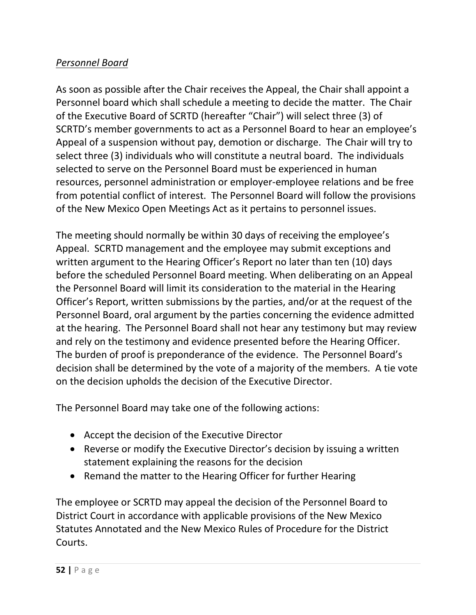## *Personnel Board*

As soon as possible after the Chair receives the Appeal, the Chair shall appoint a Personnel board which shall schedule a meeting to decide the matter. The Chair of the Executive Board of SCRTD (hereafter "Chair") will select three (3) of SCRTD's member governments to act as a Personnel Board to hear an employee's Appeal of a suspension without pay, demotion or discharge. The Chair will try to select three (3) individuals who will constitute a neutral board. The individuals selected to serve on the Personnel Board must be experienced in human resources, personnel administration or employer-employee relations and be free from potential conflict of interest. The Personnel Board will follow the provisions of the New Mexico Open Meetings Act as it pertains to personnel issues.

The meeting should normally be within 30 days of receiving the employee's Appeal. SCRTD management and the employee may submit exceptions and written argument to the Hearing Officer's Report no later than ten (10) days before the scheduled Personnel Board meeting. When deliberating on an Appeal the Personnel Board will limit its consideration to the material in the Hearing Officer's Report, written submissions by the parties, and/or at the request of the Personnel Board, oral argument by the parties concerning the evidence admitted at the hearing. The Personnel Board shall not hear any testimony but may review and rely on the testimony and evidence presented before the Hearing Officer. The burden of proof is preponderance of the evidence. The Personnel Board's decision shall be determined by the vote of a majority of the members. A tie vote on the decision upholds the decision of the Executive Director.

The Personnel Board may take one of the following actions:

- Accept the decision of the Executive Director
- Reverse or modify the Executive Director's decision by issuing a written statement explaining the reasons for the decision
- Remand the matter to the Hearing Officer for further Hearing

The employee or SCRTD may appeal the decision of the Personnel Board to District Court in accordance with applicable provisions of the New Mexico Statutes Annotated and the New Mexico Rules of Procedure for the District Courts.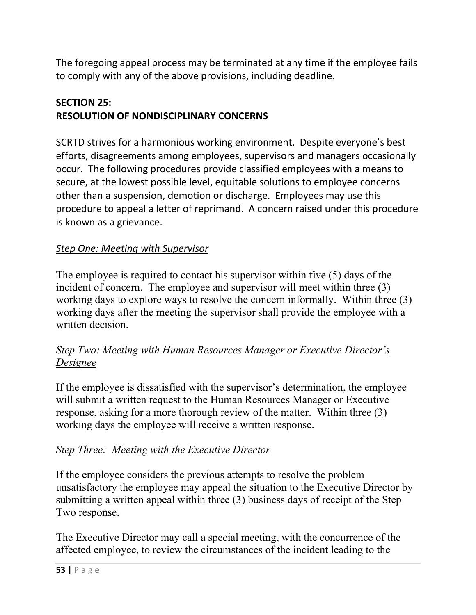The foregoing appeal process may be terminated at any time if the employee fails to comply with any of the above provisions, including deadline.

## **SECTION 25: RESOLUTION OF NONDISCIPLINARY CONCERNS**

SCRTD strives for a harmonious working environment. Despite everyone's best efforts, disagreements among employees, supervisors and managers occasionally occur. The following procedures provide classified employees with a means to secure, at the lowest possible level, equitable solutions to employee concerns other than a suspension, demotion or discharge. Employees may use this procedure to appeal a letter of reprimand. A concern raised under this procedure is known as a grievance.

# *Step One: Meeting with Supervisor*

The employee is required to contact his supervisor within five (5) days of the incident of concern. The employee and supervisor will meet within three (3) working days to explore ways to resolve the concern informally. Within three (3) working days after the meeting the supervisor shall provide the employee with a written decision.

## *Step Two: Meeting with Human Resources Manager or Executive Director's Designee*

If the employee is dissatisfied with the supervisor's determination, the employee will submit a written request to the Human Resources Manager or Executive response, asking for a more thorough review of the matter. Within three (3) working days the employee will receive a written response.

# *Step Three: Meeting with the Executive Director*

If the employee considers the previous attempts to resolve the problem unsatisfactory the employee may appeal the situation to the Executive Director by submitting a written appeal within three (3) business days of receipt of the Step Two response.

The Executive Director may call a special meeting, with the concurrence of the affected employee, to review the circumstances of the incident leading to the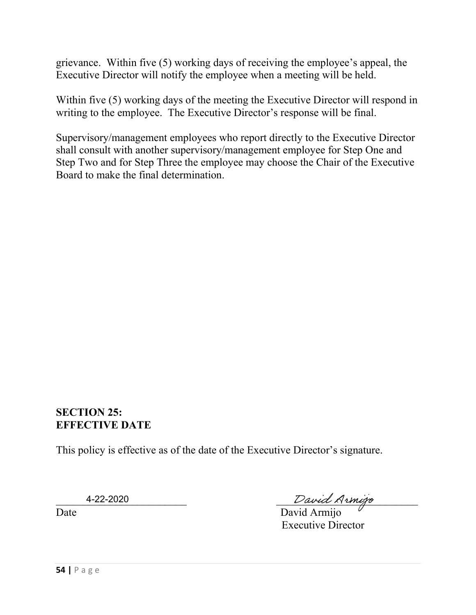grievance. Within five (5) working days of receiving the employee's appeal, the Executive Director will notify the employee when a meeting will be held.

Within five (5) working days of the meeting the Executive Director will respond in writing to the employee. The Executive Director's response will be final.

Supervisory/management employees who report directly to the Executive Director shall consult with another supervisory/management employee for Step One and Step Two and for Step Three the employee may choose the Chair of the Executive Board to make the final determination.

#### **SECTION 25: EFFECTIVE DATE**

This policy is effective as of the date of the Executive Director's signature.

4-22-2020

4-22-2020 David Armizo

Date David Armijo Executive Director